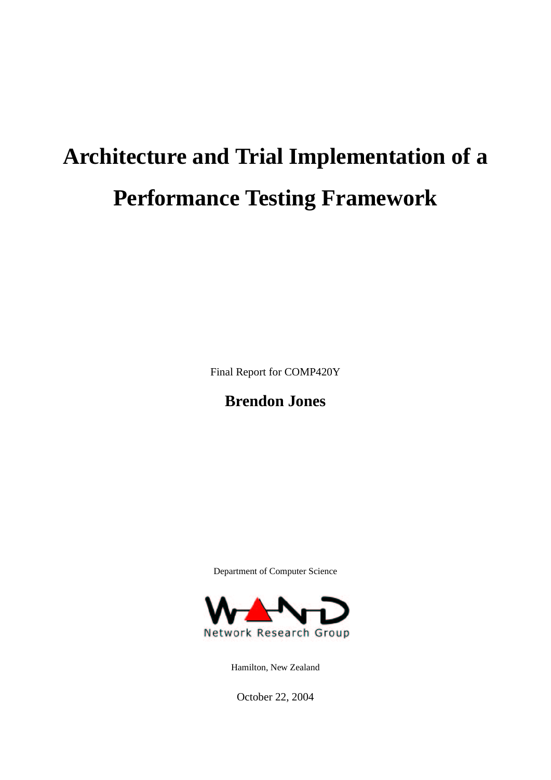# **Architecture and Trial Implementation of a Performance Testing Framework**

Final Report for COMP420Y

# **Brendon Jones**

Department of Computer Science



Hamilton, New Zealand

October 22, 2004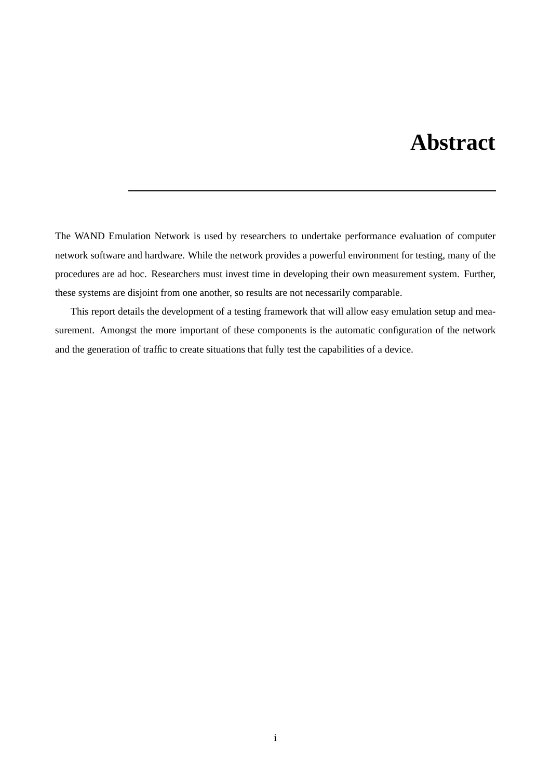# **Abstract**

The WAND Emulation Network is used by researchers to undertake performance evaluation of computer network software and hardware. While the network provides a powerful environment for testing, many of the procedures are ad hoc. Researchers must invest time in developing their own measurement system. Further, these systems are disjoint from one another, so results are not necessarily comparable.

This report details the development of a testing framework that will allow easy emulation setup and measurement. Amongst the more important of these components is the automatic configuration of the network and the generation of traffic to create situations that fully test the capabilities of a device.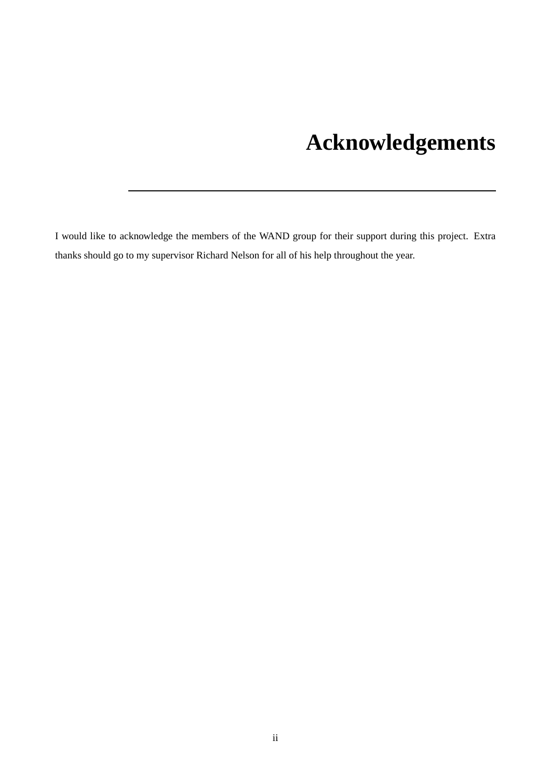# **Acknowledgements**

I would like to acknowledge the members of the WAND group for their support during this project. Extra thanks should go to my supervisor Richard Nelson for all of his help throughout the year.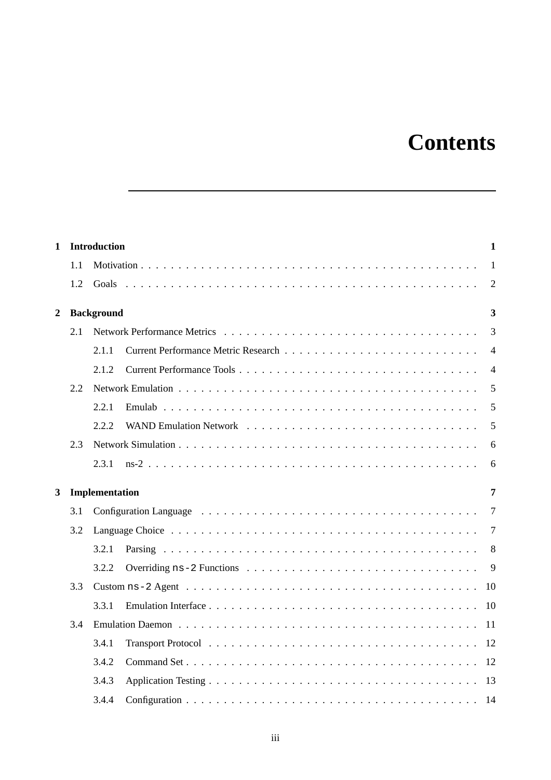# **Contents**

| $\mathbf{1}$   |     | <b>Introduction</b>                                                                                                        | 1              |
|----------------|-----|----------------------------------------------------------------------------------------------------------------------------|----------------|
|                | 1.1 |                                                                                                                            | $\overline{1}$ |
|                | 1.2 |                                                                                                                            | 2              |
| $\overline{2}$ |     | <b>Background</b>                                                                                                          | 3              |
|                | 2.1 |                                                                                                                            | 3              |
|                |     | 2.1.1                                                                                                                      | $\overline{4}$ |
|                |     | 2.1.2                                                                                                                      | $\overline{4}$ |
|                | 2.2 |                                                                                                                            | 5              |
|                |     | 2.2.1                                                                                                                      | 5              |
|                |     | 2.2.2                                                                                                                      | 5              |
|                | 2.3 |                                                                                                                            | 6              |
|                |     | 2.3.1                                                                                                                      | 6              |
| 3              |     | Implementation                                                                                                             | 7              |
|                | 3.1 |                                                                                                                            | 7              |
|                | 3.2 |                                                                                                                            | 7              |
|                |     | 3.2.1                                                                                                                      | 8              |
|                |     | 3.2.2                                                                                                                      | 9              |
|                | 3.3 | Custom ns-2 Agent $\dots \dots \dots \dots \dots \dots \dots \dots \dots \dots \dots \dots \dots \dots \dots \dots$<br>-10 |                |
|                |     | 3.3.1<br>-10                                                                                                               |                |
|                | 3.4 |                                                                                                                            |                |
|                |     | Transport Protocol $\ldots \ldots \ldots \ldots \ldots \ldots \ldots \ldots \ldots \ldots \ldots \ldots \ldots$<br>3.4.1   |                |
|                |     | 3.4.2                                                                                                                      |                |
|                |     | 3.4.3                                                                                                                      |                |
|                |     | 3.4.4<br>- 14                                                                                                              |                |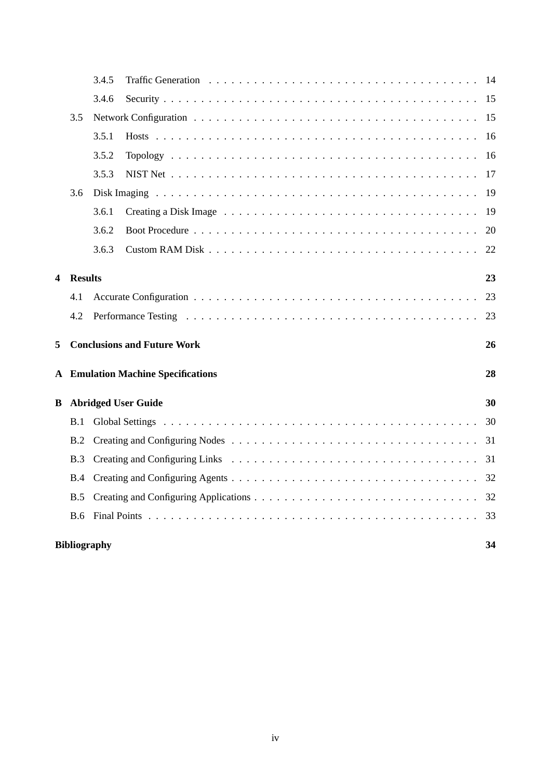|   |                                               | 3.4.5                                    |                            | 14 |  |  |
|---|-----------------------------------------------|------------------------------------------|----------------------------|----|--|--|
|   |                                               | 3.4.6                                    |                            | 15 |  |  |
|   | 3.5                                           |                                          |                            |    |  |  |
|   |                                               | 3.5.1                                    |                            | 16 |  |  |
|   |                                               | 3.5.2                                    |                            | 16 |  |  |
|   |                                               | 3.5.3                                    |                            | 17 |  |  |
|   | 3.6                                           |                                          |                            | 19 |  |  |
|   |                                               | 3.6.1                                    |                            | 19 |  |  |
|   |                                               | 3.6.2                                    |                            | 20 |  |  |
|   |                                               | 3.6.3                                    |                            | 22 |  |  |
| 4 | <b>Results</b>                                |                                          |                            | 23 |  |  |
|   | 4.1                                           |                                          |                            | 23 |  |  |
|   | 4.2                                           |                                          |                            | 23 |  |  |
| 5 |                                               | <b>Conclusions and Future Work</b><br>26 |                            |    |  |  |
| A | <b>Emulation Machine Specifications</b><br>28 |                                          |                            |    |  |  |
| B |                                               |                                          | <b>Abridged User Guide</b> | 30 |  |  |
|   | B.1                                           |                                          |                            | 30 |  |  |
|   | B.2                                           |                                          |                            | 31 |  |  |
|   | B.3                                           |                                          |                            | 31 |  |  |
|   | B.4                                           |                                          |                            | 32 |  |  |
|   | B.5                                           |                                          |                            | 32 |  |  |
|   | <b>B.6</b>                                    |                                          |                            | 33 |  |  |
|   | <b>Bibliography</b><br>34                     |                                          |                            |    |  |  |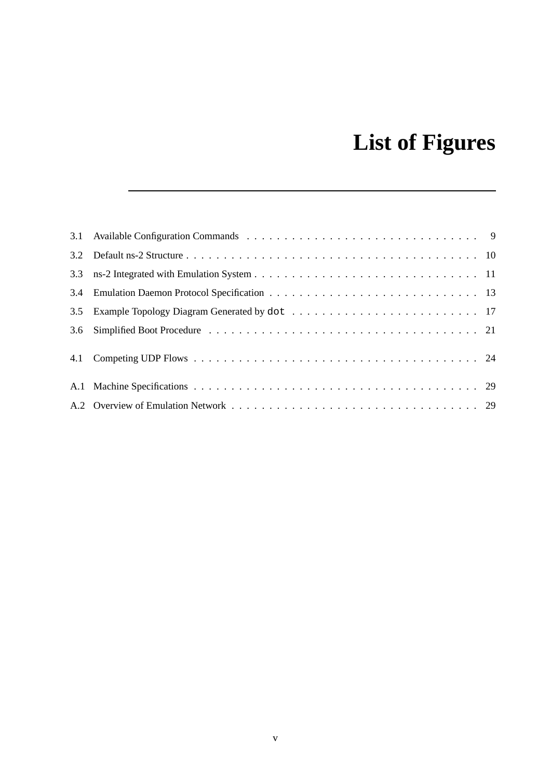# **List of Figures**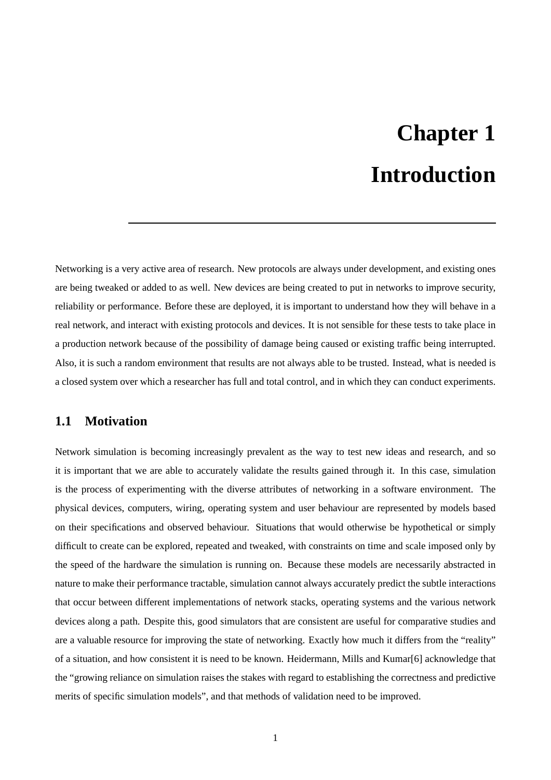# **Chapter 1 Introduction**

Networking is a very active area of research. New protocols are always under development, and existing ones are being tweaked or added to as well. New devices are being created to put in networks to improve security, reliability or performance. Before these are deployed, it is important to understand how they will behave in a real network, and interact with existing protocols and devices. It is not sensible for these tests to take place in a production network because of the possibility of damage being caused or existing traffic being interrupted. Also, it is such a random environment that results are not always able to be trusted. Instead, what is needed is a closed system over which a researcher has full and total control, and in which they can conduct experiments.

# **1.1 Motivation**

Network simulation is becoming increasingly prevalent as the way to test new ideas and research, and so it is important that we are able to accurately validate the results gained through it. In this case, simulation is the process of experimenting with the diverse attributes of networking in a software environment. The physical devices, computers, wiring, operating system and user behaviour are represented by models based on their specifications and observed behaviour. Situations that would otherwise be hypothetical or simply difficult to create can be explored, repeated and tweaked, with constraints on time and scale imposed only by the speed of the hardware the simulation is running on. Because these models are necessarily abstracted in nature to make their performance tractable, simulation cannot always accurately predict the subtle interactions that occur between different implementations of network stacks, operating systems and the various network devices along a path. Despite this, good simulators that are consistent are useful for comparative studies and are a valuable resource for improving the state of networking. Exactly how much it differs from the "reality" of a situation, and how consistent it is need to be known. Heidermann, Mills and Kumar[6] acknowledge that the "growing reliance on simulation raises the stakes with regard to establishing the correctness and predictive merits of specific simulation models", and that methods of validation need to be improved.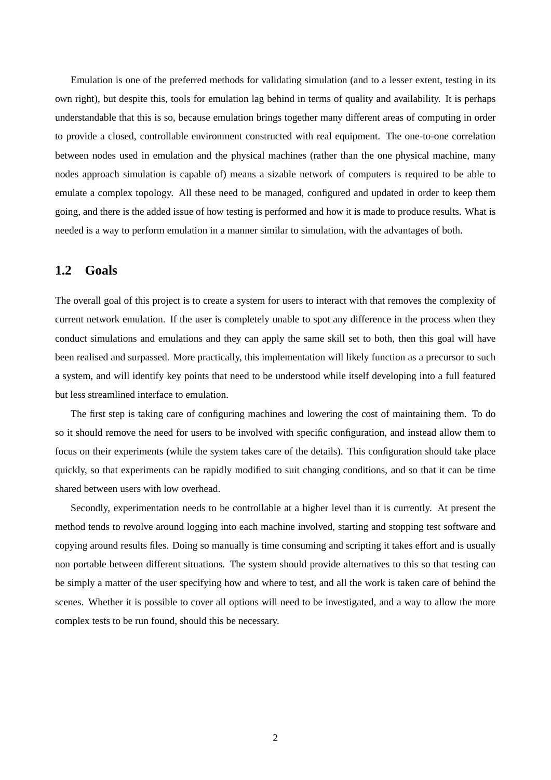Emulation is one of the preferred methods for validating simulation (and to a lesser extent, testing in its own right), but despite this, tools for emulation lag behind in terms of quality and availability. It is perhaps understandable that this is so, because emulation brings together many different areas of computing in order to provide a closed, controllable environment constructed with real equipment. The one-to-one correlation between nodes used in emulation and the physical machines (rather than the one physical machine, many nodes approach simulation is capable of) means a sizable network of computers is required to be able to emulate a complex topology. All these need to be managed, configured and updated in order to keep them going, and there is the added issue of how testing is performed and how it is made to produce results. What is needed is a way to perform emulation in a manner similar to simulation, with the advantages of both.

## **1.2 Goals**

The overall goal of this project is to create a system for users to interact with that removes the complexity of current network emulation. If the user is completely unable to spot any difference in the process when they conduct simulations and emulations and they can apply the same skill set to both, then this goal will have been realised and surpassed. More practically, this implementation will likely function as a precursor to such a system, and will identify key points that need to be understood while itself developing into a full featured but less streamlined interface to emulation.

The first step is taking care of configuring machines and lowering the cost of maintaining them. To do so it should remove the need for users to be involved with specific configuration, and instead allow them to focus on their experiments (while the system takes care of the details). This configuration should take place quickly, so that experiments can be rapidly modified to suit changing conditions, and so that it can be time shared between users with low overhead.

Secondly, experimentation needs to be controllable at a higher level than it is currently. At present the method tends to revolve around logging into each machine involved, starting and stopping test software and copying around results files. Doing so manually is time consuming and scripting it takes effort and is usually non portable between different situations. The system should provide alternatives to this so that testing can be simply a matter of the user specifying how and where to test, and all the work is taken care of behind the scenes. Whether it is possible to cover all options will need to be investigated, and a way to allow the more complex tests to be run found, should this be necessary.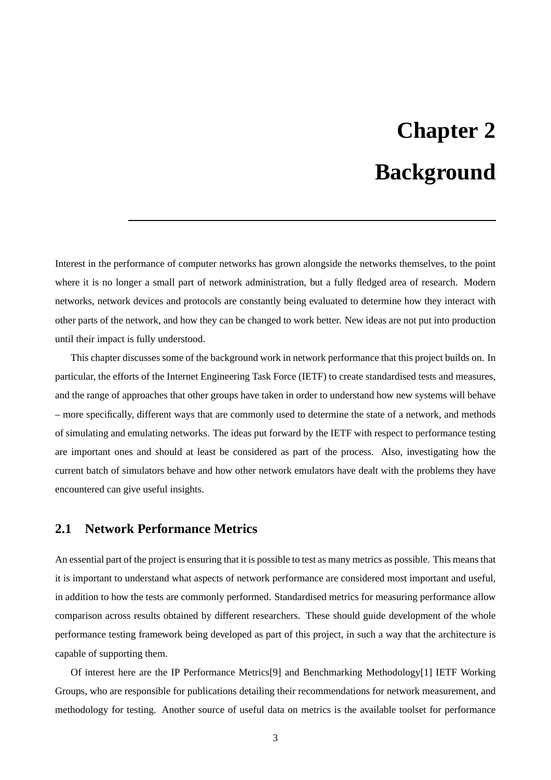# **Chapter 2 Background**

Interest in the performance of computer networks has grown alongside the networks themselves, to the point where it is no longer a small part of network administration, but a fully fledged area of research. Modern networks, network devices and protocols are constantly being evaluated to determine how they interact with other parts of the network, and how they can be changed to work better. New ideas are not put into production until their impact is fully understood.

This chapter discusses some of the background work in network performance that this project builds on. In particular, the efforts of the Internet Engineering Task Force (IETF) to create standardised tests and measures, and the range of approaches that other groups have taken in order to understand how new systems will behave – more specifically, different ways that are commonly used to determine the state of a network, and methods of simulating and emulating networks. The ideas put forward by the IETF with respect to performance testing are important ones and should at least be considered as part of the process. Also, investigating how the current batch of simulators behave and how other network emulators have dealt with the problems they have encountered can give useful insights.

## **2.1 Network Performance Metrics**

An essential part of the project is ensuring that it is possible to test as many metrics as possible. This means that it is important to understand what aspects of network performance are considered most important and useful, in addition to how the tests are commonly performed. Standardised metrics for measuring performance allow comparison across results obtained by different researchers. These should guide development of the whole performance testing framework being developed as part of this project, in such a way that the architecture is capable of supporting them.

Of interest here are the IP Performance Metrics[9] and Benchmarking Methodology[1] IETF Working Groups, who are responsible for publications detailing their recommendations for network measurement, and methodology for testing. Another source of useful data on metrics is the available toolset for performance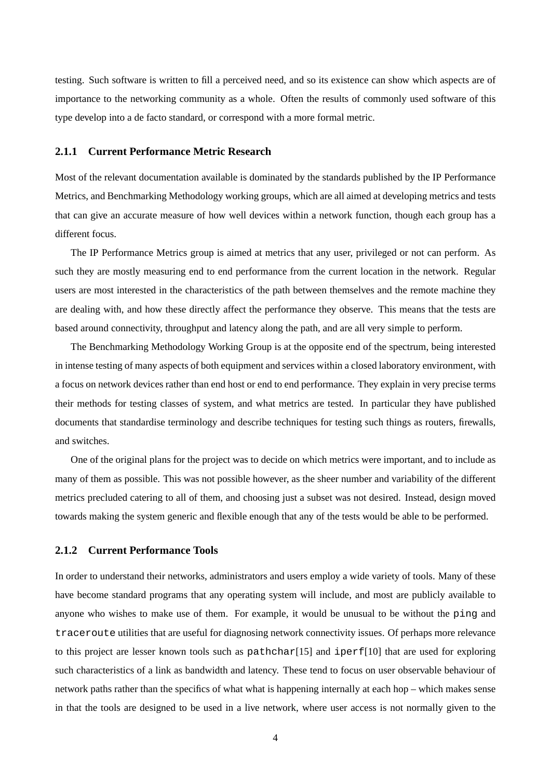testing. Such software is written to fill a perceived need, and so its existence can show which aspects are of importance to the networking community as a whole. Often the results of commonly used software of this type develop into a de facto standard, or correspond with a more formal metric.

#### **2.1.1 Current Performance Metric Research**

Most of the relevant documentation available is dominated by the standards published by the IP Performance Metrics, and Benchmarking Methodology working groups, which are all aimed at developing metrics and tests that can give an accurate measure of how well devices within a network function, though each group has a different focus.

The IP Performance Metrics group is aimed at metrics that any user, privileged or not can perform. As such they are mostly measuring end to end performance from the current location in the network. Regular users are most interested in the characteristics of the path between themselves and the remote machine they are dealing with, and how these directly affect the performance they observe. This means that the tests are based around connectivity, throughput and latency along the path, and are all very simple to perform.

The Benchmarking Methodology Working Group is at the opposite end of the spectrum, being interested in intense testing of many aspects of both equipment and services within a closed laboratory environment, with a focus on network devices rather than end host or end to end performance. They explain in very precise terms their methods for testing classes of system, and what metrics are tested. In particular they have published documents that standardise terminology and describe techniques for testing such things as routers, firewalls, and switches.

One of the original plans for the project was to decide on which metrics were important, and to include as many of them as possible. This was not possible however, as the sheer number and variability of the different metrics precluded catering to all of them, and choosing just a subset was not desired. Instead, design moved towards making the system generic and flexible enough that any of the tests would be able to be performed.

#### **2.1.2 Current Performance Tools**

In order to understand their networks, administrators and users employ a wide variety of tools. Many of these have become standard programs that any operating system will include, and most are publicly available to anyone who wishes to make use of them. For example, it would be unusual to be without the ping and traceroute utilities that are useful for diagnosing network connectivity issues. Of perhaps more relevance to this project are lesser known tools such as pathchar[15] and iperf[10] that are used for exploring such characteristics of a link as bandwidth and latency. These tend to focus on user observable behaviour of network paths rather than the specifics of what what is happening internally at each hop – which makes sense in that the tools are designed to be used in a live network, where user access is not normally given to the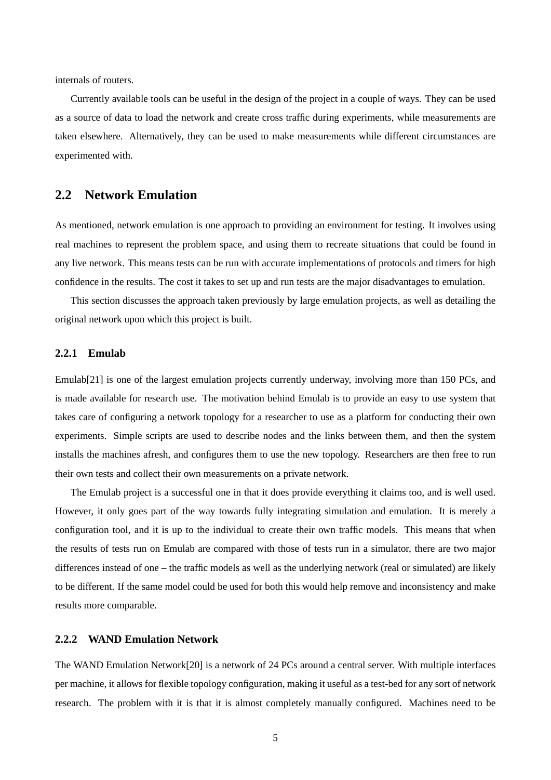internals of routers.

Currently available tools can be useful in the design of the project in a couple of ways. They can be used as a source of data to load the network and create cross traffic during experiments, while measurements are taken elsewhere. Alternatively, they can be used to make measurements while different circumstances are experimented with.

## **2.2 Network Emulation**

As mentioned, network emulation is one approach to providing an environment for testing. It involves using real machines to represent the problem space, and using them to recreate situations that could be found in any live network. This means tests can be run with accurate implementations of protocols and timers for high confidence in the results. The cost it takes to set up and run tests are the major disadvantages to emulation.

This section discusses the approach taken previously by large emulation projects, as well as detailing the original network upon which this project is built.

#### **2.2.1 Emulab**

Emulab<sup>[21]</sup> is one of the largest emulation projects currently underway, involving more than 150 PCs, and is made available for research use. The motivation behind Emulab is to provide an easy to use system that takes care of configuring a network topology for a researcher to use as a platform for conducting their own experiments. Simple scripts are used to describe nodes and the links between them, and then the system installs the machines afresh, and configures them to use the new topology. Researchers are then free to run their own tests and collect their own measurements on a private network.

The Emulab project is a successful one in that it does provide everything it claims too, and is well used. However, it only goes part of the way towards fully integrating simulation and emulation. It is merely a configuration tool, and it is up to the individual to create their own traffic models. This means that when the results of tests run on Emulab are compared with those of tests run in a simulator, there are two major differences instead of one – the traffic models as well as the underlying network (real or simulated) are likely to be different. If the same model could be used for both this would help remove and inconsistency and make results more comparable.

#### **2.2.2 WAND Emulation Network**

The WAND Emulation Network[20] is a network of 24 PCs around a central server. With multiple interfaces per machine, it allows for flexible topology configuration, making it useful as a test-bed for any sort of network research. The problem with it is that it is almost completely manually configured. Machines need to be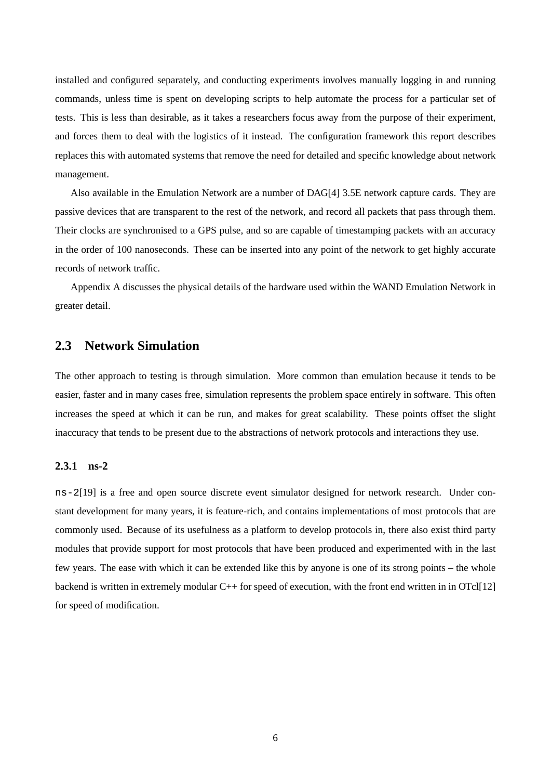installed and configured separately, and conducting experiments involves manually logging in and running commands, unless time is spent on developing scripts to help automate the process for a particular set of tests. This is less than desirable, as it takes a researchers focus away from the purpose of their experiment, and forces them to deal with the logistics of it instead. The configuration framework this report describes replaces this with automated systems that remove the need for detailed and specific knowledge about network management.

Also available in the Emulation Network are a number of DAG[4] 3.5E network capture cards. They are passive devices that are transparent to the rest of the network, and record all packets that pass through them. Their clocks are synchronised to a GPS pulse, and so are capable of timestamping packets with an accuracy in the order of 100 nanoseconds. These can be inserted into any point of the network to get highly accurate records of network traffic.

Appendix A discusses the physical details of the hardware used within the WAND Emulation Network in greater detail.

## **2.3 Network Simulation**

The other approach to testing is through simulation. More common than emulation because it tends to be easier, faster and in many cases free, simulation represents the problem space entirely in software. This often increases the speed at which it can be run, and makes for great scalability. These points offset the slight inaccuracy that tends to be present due to the abstractions of network protocols and interactions they use.

### **2.3.1 ns-2**

ns-2[19] is a free and open source discrete event simulator designed for network research. Under constant development for many years, it is feature-rich, and contains implementations of most protocols that are commonly used. Because of its usefulness as a platform to develop protocols in, there also exist third party modules that provide support for most protocols that have been produced and experimented with in the last few years. The ease with which it can be extended like this by anyone is one of its strong points – the whole backend is written in extremely modular C++ for speed of execution, with the front end written in in OTcl[12] for speed of modification.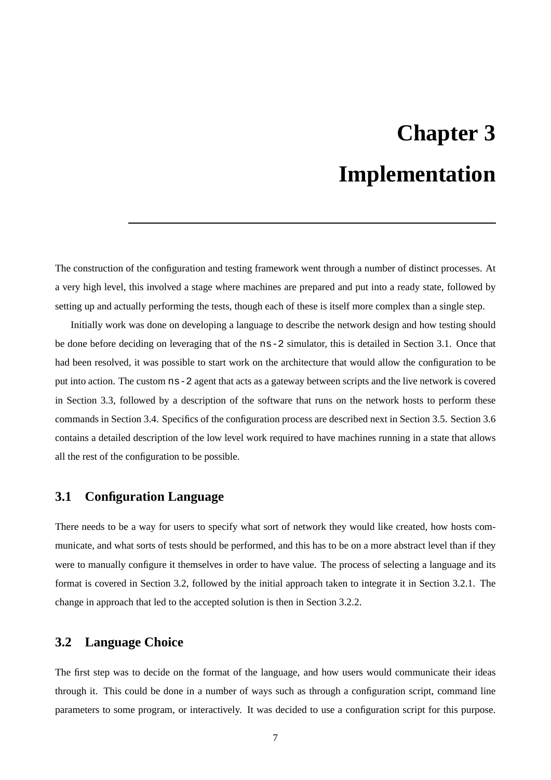# **Chapter 3 Implementation**

The construction of the configuration and testing framework went through a number of distinct processes. At a very high level, this involved a stage where machines are prepared and put into a ready state, followed by setting up and actually performing the tests, though each of these is itself more complex than a single step.

Initially work was done on developing a language to describe the network design and how testing should be done before deciding on leveraging that of the ns-2 simulator, this is detailed in Section 3.1. Once that had been resolved, it was possible to start work on the architecture that would allow the configuration to be put into action. The custom ns-2 agent that acts as a gateway between scripts and the live network is covered in Section 3.3, followed by a description of the software that runs on the network hosts to perform these commands in Section 3.4. Specifics of the configuration process are described next in Section 3.5. Section 3.6 contains a detailed description of the low level work required to have machines running in a state that allows all the rest of the configuration to be possible.

### **3.1 Configuration Language**

There needs to be a way for users to specify what sort of network they would like created, how hosts communicate, and what sorts of tests should be performed, and this has to be on a more abstract level than if they were to manually configure it themselves in order to have value. The process of selecting a language and its format is covered in Section 3.2, followed by the initial approach taken to integrate it in Section 3.2.1. The change in approach that led to the accepted solution is then in Section 3.2.2.

### **3.2 Language Choice**

The first step was to decide on the format of the language, and how users would communicate their ideas through it. This could be done in a number of ways such as through a configuration script, command line parameters to some program, or interactively. It was decided to use a configuration script for this purpose.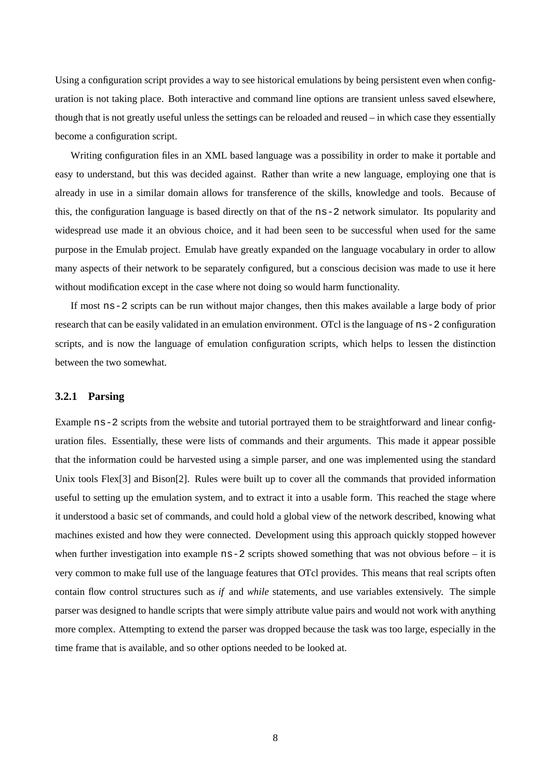Using a configuration script provides a way to see historical emulations by being persistent even when configuration is not taking place. Both interactive and command line options are transient unless saved elsewhere, though that is not greatly useful unless the settings can be reloaded and reused – in which case they essentially become a configuration script.

Writing configuration files in an XML based language was a possibility in order to make it portable and easy to understand, but this was decided against. Rather than write a new language, employing one that is already in use in a similar domain allows for transference of the skills, knowledge and tools. Because of this, the configuration language is based directly on that of the ns-2 network simulator. Its popularity and widespread use made it an obvious choice, and it had been seen to be successful when used for the same purpose in the Emulab project. Emulab have greatly expanded on the language vocabulary in order to allow many aspects of their network to be separately configured, but a conscious decision was made to use it here without modification except in the case where not doing so would harm functionality.

If most ns-2 scripts can be run without major changes, then this makes available a large body of prior research that can be easily validated in an emulation environment. OTcl is the language of ns-2 configuration scripts, and is now the language of emulation configuration scripts, which helps to lessen the distinction between the two somewhat.

#### **3.2.1 Parsing**

Example ns-2 scripts from the website and tutorial portrayed them to be straightforward and linear configuration files. Essentially, these were lists of commands and their arguments. This made it appear possible that the information could be harvested using a simple parser, and one was implemented using the standard Unix tools Flex[3] and Bison[2]. Rules were built up to cover all the commands that provided information useful to setting up the emulation system, and to extract it into a usable form. This reached the stage where it understood a basic set of commands, and could hold a global view of the network described, knowing what machines existed and how they were connected. Development using this approach quickly stopped however when further investigation into example ns-2 scripts showed something that was not obvious before – it is very common to make full use of the language features that OTcl provides. This means that real scripts often contain flow control structures such as *if* and *while* statements, and use variables extensively. The simple parser was designed to handle scripts that were simply attribute value pairs and would not work with anything more complex. Attempting to extend the parser was dropped because the task was too large, especially in the time frame that is available, and so other options needed to be looked at.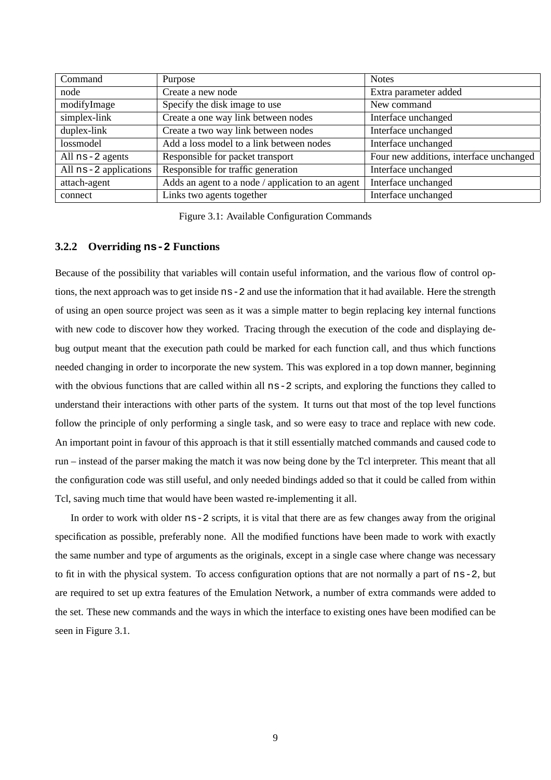| Command               | Purpose                                           | <b>Notes</b>                            |
|-----------------------|---------------------------------------------------|-----------------------------------------|
| node                  | Create a new node                                 | Extra parameter added                   |
| modifyImage           | Specify the disk image to use                     | New command                             |
| simplex-link          | Create a one way link between nodes               | Interface unchanged                     |
| duplex-link           | Create a two way link between nodes               | Interface unchanged                     |
| lossmodel             | Add a loss model to a link between nodes          | Interface unchanged                     |
| All $ns-2$ agents     | Responsible for packet transport                  | Four new additions, interface unchanged |
| All ns-2 applications | Responsible for traffic generation                | Interface unchanged                     |
| attach-agent          | Adds an agent to a node / application to an agent | Interface unchanged                     |
| connect               | Links two agents together                         | Interface unchanged                     |

Figure 3.1: Available Configuration Commands

#### **3.2.2 Overriding ns-2 Functions**

Because of the possibility that variables will contain useful information, and the various flow of control options, the next approach was to get inside ns-2 and use the information that it had available. Here the strength of using an open source project was seen as it was a simple matter to begin replacing key internal functions with new code to discover how they worked. Tracing through the execution of the code and displaying debug output meant that the execution path could be marked for each function call, and thus which functions needed changing in order to incorporate the new system. This was explored in a top down manner, beginning with the obvious functions that are called within all  $ns-2$  scripts, and exploring the functions they called to understand their interactions with other parts of the system. It turns out that most of the top level functions follow the principle of only performing a single task, and so were easy to trace and replace with new code. An important point in favour of this approach is that it still essentially matched commands and caused code to run – instead of the parser making the match it was now being done by the Tcl interpreter. This meant that all the configuration code was still useful, and only needed bindings added so that it could be called from within Tcl, saving much time that would have been wasted re-implementing it all.

In order to work with older ns-2 scripts, it is vital that there are as few changes away from the original specification as possible, preferably none. All the modified functions have been made to work with exactly the same number and type of arguments as the originals, except in a single case where change was necessary to fit in with the physical system. To access configuration options that are not normally a part of ns-2, but are required to set up extra features of the Emulation Network, a number of extra commands were added to the set. These new commands and the ways in which the interface to existing ones have been modified can be seen in Figure 3.1.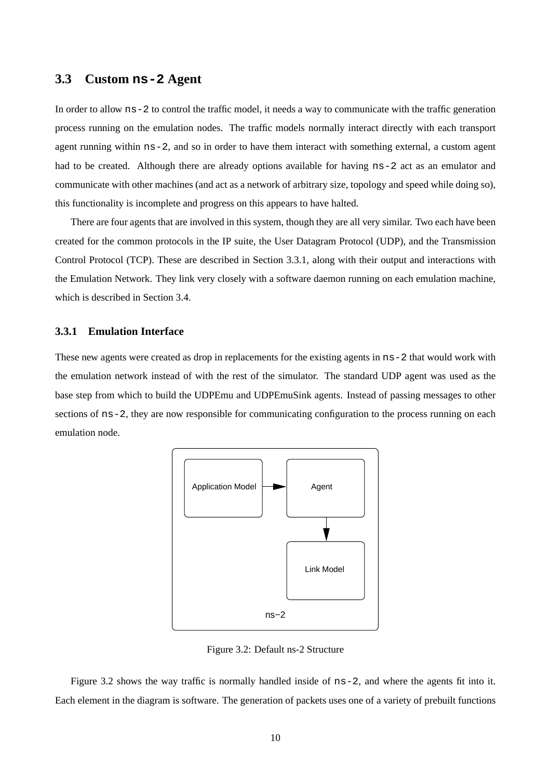## **3.3 Custom ns-2 Agent**

In order to allow ns-2 to control the traffic model, it needs a way to communicate with the traffic generation process running on the emulation nodes. The traffic models normally interact directly with each transport agent running within ns-2, and so in order to have them interact with something external, a custom agent had to be created. Although there are already options available for having  $ns-2$  act as an emulator and communicate with other machines (and act as a network of arbitrary size, topology and speed while doing so), this functionality is incomplete and progress on this appears to have halted.

There are four agents that are involved in this system, though they are all very similar. Two each have been created for the common protocols in the IP suite, the User Datagram Protocol (UDP), and the Transmission Control Protocol (TCP). These are described in Section 3.3.1, along with their output and interactions with the Emulation Network. They link very closely with a software daemon running on each emulation machine, which is described in Section 3.4.

#### **3.3.1 Emulation Interface**

These new agents were created as drop in replacements for the existing agents in ns-2 that would work with the emulation network instead of with the rest of the simulator. The standard UDP agent was used as the base step from which to build the UDPEmu and UDPEmuSink agents. Instead of passing messages to other sections of  $ns-2$ , they are now responsible for communicating configuration to the process running on each emulation node.



Figure 3.2: Default ns-2 Structure

Figure 3.2 shows the way traffic is normally handled inside of ns-2, and where the agents fit into it. Each element in the diagram is software. The generation of packets uses one of a variety of prebuilt functions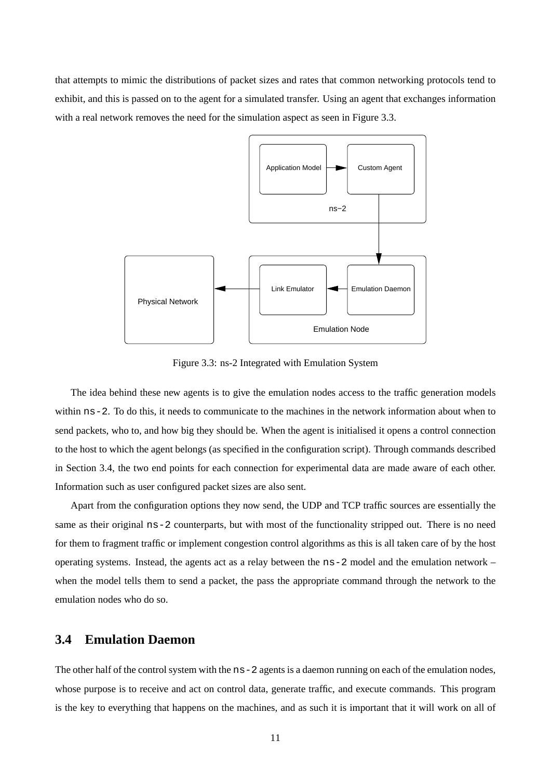that attempts to mimic the distributions of packet sizes and rates that common networking protocols tend to exhibit, and this is passed on to the agent for a simulated transfer. Using an agent that exchanges information with a real network removes the need for the simulation aspect as seen in Figure 3.3.



Figure 3.3: ns-2 Integrated with Emulation System

The idea behind these new agents is to give the emulation nodes access to the traffic generation models within  $ns-2$ . To do this, it needs to communicate to the machines in the network information about when to send packets, who to, and how big they should be. When the agent is initialised it opens a control connection to the host to which the agent belongs (as specified in the configuration script). Through commands described in Section 3.4, the two end points for each connection for experimental data are made aware of each other. Information such as user configured packet sizes are also sent.

Apart from the configuration options they now send, the UDP and TCP traffic sources are essentially the same as their original  $ns-2$  counterparts, but with most of the functionality stripped out. There is no need for them to fragment traffic or implement congestion control algorithms as this is all taken care of by the host operating systems. Instead, the agents act as a relay between the ns-2 model and the emulation network – when the model tells them to send a packet, the pass the appropriate command through the network to the emulation nodes who do so.

# **3.4 Emulation Daemon**

The other half of the control system with the  $ns-2$  agents is a daemon running on each of the emulation nodes, whose purpose is to receive and act on control data, generate traffic, and execute commands. This program is the key to everything that happens on the machines, and as such it is important that it will work on all of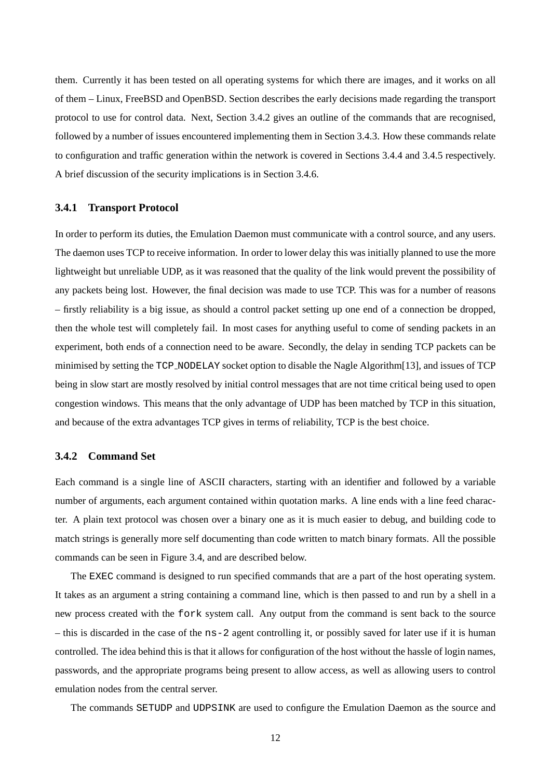them. Currently it has been tested on all operating systems for which there are images, and it works on all of them – Linux, FreeBSD and OpenBSD. Section describes the early decisions made regarding the transport protocol to use for control data. Next, Section 3.4.2 gives an outline of the commands that are recognised, followed by a number of issues encountered implementing them in Section 3.4.3. How these commands relate to configuration and traffic generation within the network is covered in Sections 3.4.4 and 3.4.5 respectively. A brief discussion of the security implications is in Section 3.4.6.

#### **3.4.1 Transport Protocol**

In order to perform its duties, the Emulation Daemon must communicate with a control source, and any users. The daemon uses TCP to receive information. In order to lower delay this was initially planned to use the more lightweight but unreliable UDP, as it was reasoned that the quality of the link would prevent the possibility of any packets being lost. However, the final decision was made to use TCP. This was for a number of reasons – firstly reliability is a big issue, as should a control packet setting up one end of a connection be dropped, then the whole test will completely fail. In most cases for anything useful to come of sending packets in an experiment, both ends of a connection need to be aware. Secondly, the delay in sending TCP packets can be minimised by setting the TCP NODELAY socket option to disable the Nagle Algorithm[13], and issues of TCP being in slow start are mostly resolved by initial control messages that are not time critical being used to open congestion windows. This means that the only advantage of UDP has been matched by TCP in this situation, and because of the extra advantages TCP gives in terms of reliability, TCP is the best choice.

#### **3.4.2 Command Set**

Each command is a single line of ASCII characters, starting with an identifier and followed by a variable number of arguments, each argument contained within quotation marks. A line ends with a line feed character. A plain text protocol was chosen over a binary one as it is much easier to debug, and building code to match strings is generally more self documenting than code written to match binary formats. All the possible commands can be seen in Figure 3.4, and are described below.

The EXEC command is designed to run specified commands that are a part of the host operating system. It takes as an argument a string containing a command line, which is then passed to and run by a shell in a new process created with the fork system call. Any output from the command is sent back to the source – this is discarded in the case of the ns-2 agent controlling it, or possibly saved for later use if it is human controlled. The idea behind this is that it allows for configuration of the host without the hassle of login names, passwords, and the appropriate programs being present to allow access, as well as allowing users to control emulation nodes from the central server.

The commands SETUDP and UDPSINK are used to configure the Emulation Daemon as the source and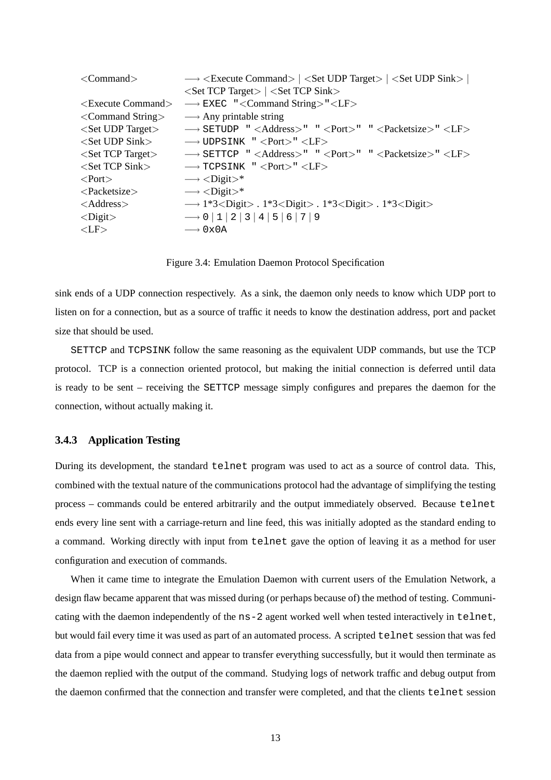| $\langle$ Command $\rangle$        | $\rightarrow$ <execute command="">   <set target="" udp="">   <set sink="" udp="">  </set></set></execute> |
|------------------------------------|------------------------------------------------------------------------------------------------------------|
|                                    | $\langle$ Set TCP Target $\rangle$   $\langle$ Set TCP Sink $\rangle$                                      |
| $\leq$ Execute Command $>$         | $\longrightarrow$ EXEC " <command string=""/> " <lf></lf>                                                  |
| $\langle$ Command String $\rangle$ | $\longrightarrow$ Any printable string                                                                     |
| $<$ Set UDP Target $>$             | → SETUDP " <address>" "<port>" "<packetsize>"<lf></lf></packetsize></port></address>                       |
| $<$ Set UDP Sink $>$               | $\rightarrow$ UDPSINK " <port>" <lf></lf></port>                                                           |
| $<$ Set TCP Target $>$             | $\rightarrow$ SETTCP " <address>" " <port>" " <packetsize>" <lf></lf></packetsize></port></address>        |
| $<$ Set TCP Sink $>$               | $\rightarrow$ TCPSINK " <port>" <lf></lf></port>                                                           |
| $<$ Port $>$                       | $\rightarrow$ <digit>*</digit>                                                                             |
| $\langle$ Packetsize $\rangle$     | $\rightarrow$ <digit>*</digit>                                                                             |
| $<$ Address $>$                    | $\rightarrow$ 1*3 <digit> . 1*3<digit> . 1*3<digit> . 1*3<digit></digit></digit></digit></digit>           |
| $<$ Digit $>$                      | $\rightarrow 0$  1 2 3 4 5 6 7 9                                                                           |
| $<$ LF $>$                         | $\longrightarrow$ 0x0A                                                                                     |
|                                    |                                                                                                            |

Figure 3.4: Emulation Daemon Protocol Specification

sink ends of a UDP connection respectively. As a sink, the daemon only needs to know which UDP port to listen on for a connection, but as a source of traffic it needs to know the destination address, port and packet size that should be used.

SETTCP and TCPSINK follow the same reasoning as the equivalent UDP commands, but use the TCP protocol. TCP is a connection oriented protocol, but making the initial connection is deferred until data is ready to be sent – receiving the SETTCP message simply configures and prepares the daemon for the connection, without actually making it.

#### **3.4.3 Application Testing**

During its development, the standard telnet program was used to act as a source of control data. This, combined with the textual nature of the communications protocol had the advantage of simplifying the testing process – commands could be entered arbitrarily and the output immediately observed. Because telnet ends every line sent with a carriage-return and line feed, this was initially adopted as the standard ending to a command. Working directly with input from telnet gave the option of leaving it as a method for user configuration and execution of commands.

When it came time to integrate the Emulation Daemon with current users of the Emulation Network, a design flaw became apparent that was missed during (or perhaps because of) the method of testing. Communicating with the daemon independently of the ns-2 agent worked well when tested interactively in telnet, but would fail every time it was used as part of an automated process. A scripted telnet session that was fed data from a pipe would connect and appear to transfer everything successfully, but it would then terminate as the daemon replied with the output of the command. Studying logs of network traffic and debug output from the daemon confirmed that the connection and transfer were completed, and that the clients telnet session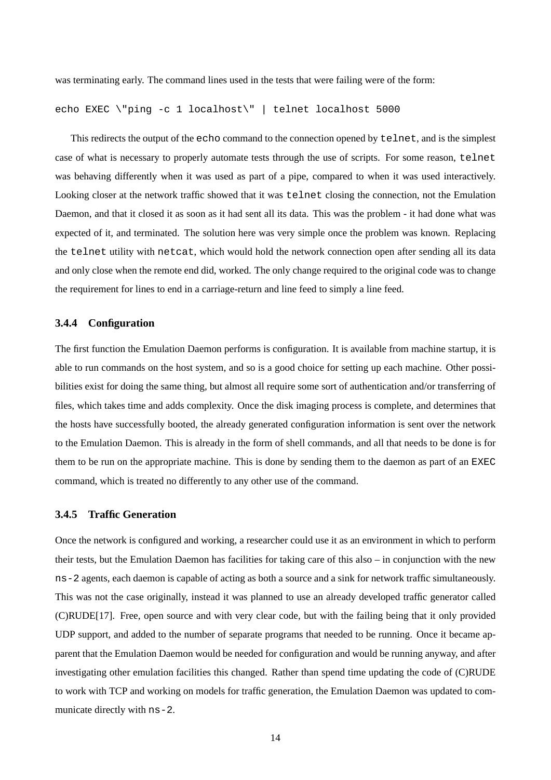was terminating early. The command lines used in the tests that were failing were of the form:

```
echo EXEC \"ping -c 1 localhost\" | telnet localhost 5000
```
This redirects the output of the echo command to the connection opened by telnet, and is the simplest case of what is necessary to properly automate tests through the use of scripts. For some reason, telnet was behaving differently when it was used as part of a pipe, compared to when it was used interactively. Looking closer at the network traffic showed that it was telnet closing the connection, not the Emulation Daemon, and that it closed it as soon as it had sent all its data. This was the problem - it had done what was expected of it, and terminated. The solution here was very simple once the problem was known. Replacing the telnet utility with netcat, which would hold the network connection open after sending all its data and only close when the remote end did, worked. The only change required to the original code was to change the requirement for lines to end in a carriage-return and line feed to simply a line feed.

#### **3.4.4 Configuration**

The first function the Emulation Daemon performs is configuration. It is available from machine startup, it is able to run commands on the host system, and so is a good choice for setting up each machine. Other possibilities exist for doing the same thing, but almost all require some sort of authentication and/or transferring of files, which takes time and adds complexity. Once the disk imaging process is complete, and determines that the hosts have successfully booted, the already generated configuration information is sent over the network to the Emulation Daemon. This is already in the form of shell commands, and all that needs to be done is for them to be run on the appropriate machine. This is done by sending them to the daemon as part of an EXEC command, which is treated no differently to any other use of the command.

#### **3.4.5 Traffic Generation**

Once the network is configured and working, a researcher could use it as an environment in which to perform their tests, but the Emulation Daemon has facilities for taking care of this also – in conjunction with the new ns-2 agents, each daemon is capable of acting as both a source and a sink for network traffic simultaneously. This was not the case originally, instead it was planned to use an already developed traffic generator called (C)RUDE[17]. Free, open source and with very clear code, but with the failing being that it only provided UDP support, and added to the number of separate programs that needed to be running. Once it became apparent that the Emulation Daemon would be needed for configuration and would be running anyway, and after investigating other emulation facilities this changed. Rather than spend time updating the code of (C)RUDE to work with TCP and working on models for traffic generation, the Emulation Daemon was updated to communicate directly with ns-2.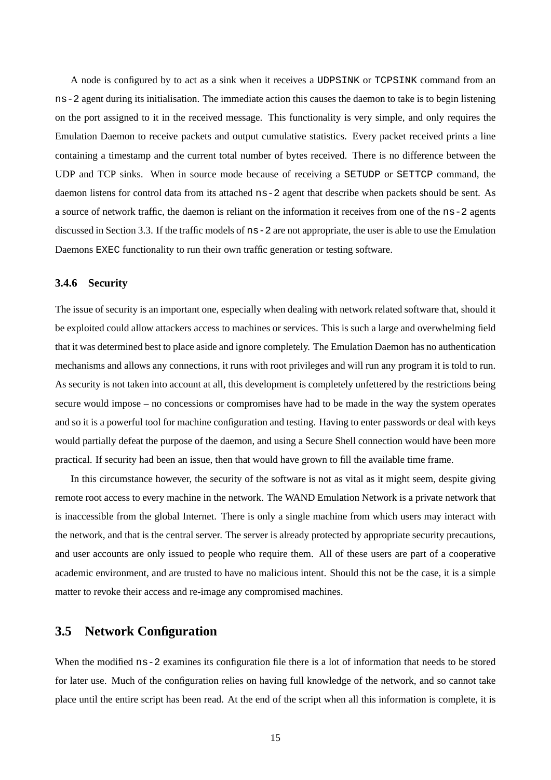A node is configured by to act as a sink when it receives a UDPSINK or TCPSINK command from an ns-2 agent during its initialisation. The immediate action this causes the daemon to take is to begin listening on the port assigned to it in the received message. This functionality is very simple, and only requires the Emulation Daemon to receive packets and output cumulative statistics. Every packet received prints a line containing a timestamp and the current total number of bytes received. There is no difference between the UDP and TCP sinks. When in source mode because of receiving a SETUDP or SETTCP command, the daemon listens for control data from its attached ns-2 agent that describe when packets should be sent. As a source of network traffic, the daemon is reliant on the information it receives from one of the ns-2 agents discussed in Section 3.3. If the traffic models of ns-2 are not appropriate, the user is able to use the Emulation Daemons EXEC functionality to run their own traffic generation or testing software.

#### **3.4.6 Security**

The issue of security is an important one, especially when dealing with network related software that, should it be exploited could allow attackers access to machines or services. This is such a large and overwhelming field that it was determined best to place aside and ignore completely. The Emulation Daemon has no authentication mechanisms and allows any connections, it runs with root privileges and will run any program it is told to run. As security is not taken into account at all, this development is completely unfettered by the restrictions being secure would impose – no concessions or compromises have had to be made in the way the system operates and so it is a powerful tool for machine configuration and testing. Having to enter passwords or deal with keys would partially defeat the purpose of the daemon, and using a Secure Shell connection would have been more practical. If security had been an issue, then that would have grown to fill the available time frame.

In this circumstance however, the security of the software is not as vital as it might seem, despite giving remote root access to every machine in the network. The WAND Emulation Network is a private network that is inaccessible from the global Internet. There is only a single machine from which users may interact with the network, and that is the central server. The server is already protected by appropriate security precautions, and user accounts are only issued to people who require them. All of these users are part of a cooperative academic environment, and are trusted to have no malicious intent. Should this not be the case, it is a simple matter to revoke their access and re-image any compromised machines.

### **3.5 Network Configuration**

When the modified  $ns-2$  examines its configuration file there is a lot of information that needs to be stored for later use. Much of the configuration relies on having full knowledge of the network, and so cannot take place until the entire script has been read. At the end of the script when all this information is complete, it is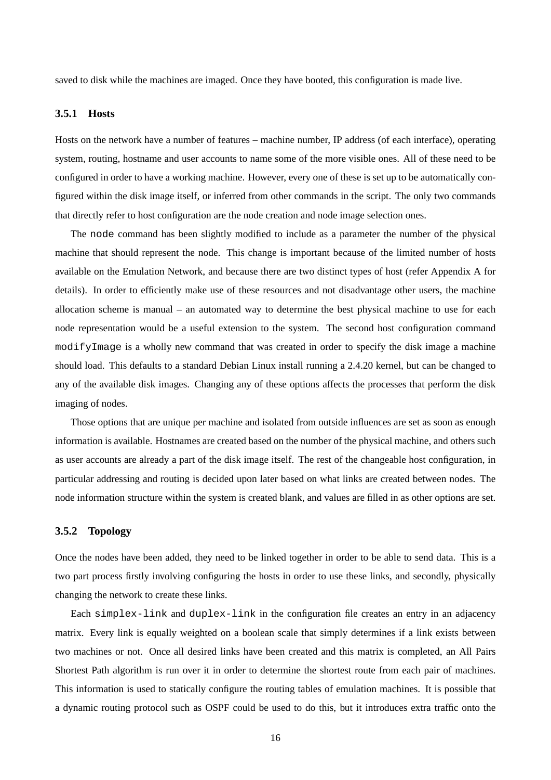saved to disk while the machines are imaged. Once they have booted, this configuration is made live.

#### **3.5.1 Hosts**

Hosts on the network have a number of features – machine number, IP address (of each interface), operating system, routing, hostname and user accounts to name some of the more visible ones. All of these need to be configured in order to have a working machine. However, every one of these is set up to be automatically configured within the disk image itself, or inferred from other commands in the script. The only two commands that directly refer to host configuration are the node creation and node image selection ones.

The node command has been slightly modified to include as a parameter the number of the physical machine that should represent the node. This change is important because of the limited number of hosts available on the Emulation Network, and because there are two distinct types of host (refer Appendix A for details). In order to efficiently make use of these resources and not disadvantage other users, the machine allocation scheme is manual – an automated way to determine the best physical machine to use for each node representation would be a useful extension to the system. The second host configuration command modifyImage is a wholly new command that was created in order to specify the disk image a machine should load. This defaults to a standard Debian Linux install running a 2.4.20 kernel, but can be changed to any of the available disk images. Changing any of these options affects the processes that perform the disk imaging of nodes.

Those options that are unique per machine and isolated from outside influences are set as soon as enough information is available. Hostnames are created based on the number of the physical machine, and others such as user accounts are already a part of the disk image itself. The rest of the changeable host configuration, in particular addressing and routing is decided upon later based on what links are created between nodes. The node information structure within the system is created blank, and values are filled in as other options are set.

#### **3.5.2 Topology**

Once the nodes have been added, they need to be linked together in order to be able to send data. This is a two part process firstly involving configuring the hosts in order to use these links, and secondly, physically changing the network to create these links.

Each simplex-link and duplex-link in the configuration file creates an entry in an adjacency matrix. Every link is equally weighted on a boolean scale that simply determines if a link exists between two machines or not. Once all desired links have been created and this matrix is completed, an All Pairs Shortest Path algorithm is run over it in order to determine the shortest route from each pair of machines. This information is used to statically configure the routing tables of emulation machines. It is possible that a dynamic routing protocol such as OSPF could be used to do this, but it introduces extra traffic onto the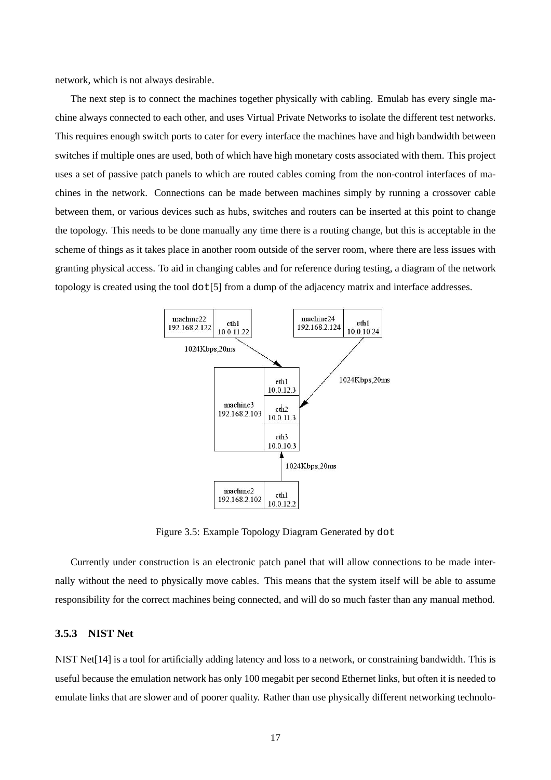network, which is not always desirable.

The next step is to connect the machines together physically with cabling. Emulab has every single machine always connected to each other, and uses Virtual Private Networks to isolate the different test networks. This requires enough switch ports to cater for every interface the machines have and high bandwidth between switches if multiple ones are used, both of which have high monetary costs associated with them. This project uses a set of passive patch panels to which are routed cables coming from the non-control interfaces of machines in the network. Connections can be made between machines simply by running a crossover cable between them, or various devices such as hubs, switches and routers can be inserted at this point to change the topology. This needs to be done manually any time there is a routing change, but this is acceptable in the scheme of things as it takes place in another room outside of the server room, where there are less issues with granting physical access. To aid in changing cables and for reference during testing, a diagram of the network topology is created using the tool dot[5] from a dump of the adjacency matrix and interface addresses.



Figure 3.5: Example Topology Diagram Generated by dot

Currently under construction is an electronic patch panel that will allow connections to be made internally without the need to physically move cables. This means that the system itself will be able to assume responsibility for the correct machines being connected, and will do so much faster than any manual method.

#### **3.5.3 NIST Net**

NIST Net[14] is a tool for artificially adding latency and loss to a network, or constraining bandwidth. This is useful because the emulation network has only 100 megabit per second Ethernet links, but often it is needed to emulate links that are slower and of poorer quality. Rather than use physically different networking technolo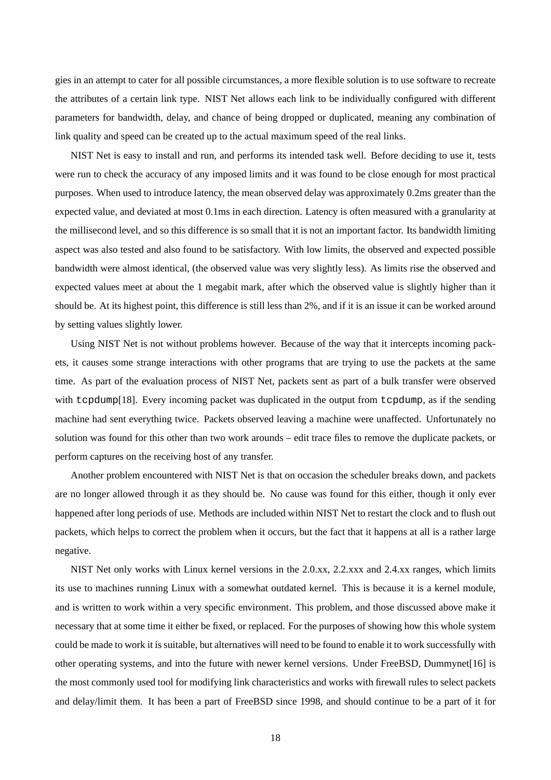gies in an attempt to cater for all possible circumstances, a more flexible solution is to use software to recreate the attributes of a certain link type. NIST Net allows each link to be individually configured with different parameters for bandwidth, delay, and chance of being dropped or duplicated, meaning any combination of link quality and speed can be created up to the actual maximum speed of the real links.

NIST Net is easy to install and run, and performs its intended task well. Before deciding to use it, tests were run to check the accuracy of any imposed limits and it was found to be close enough for most practical purposes. When used to introduce latency, the mean observed delay was approximately 0.2ms greater than the expected value, and deviated at most 0.1ms in each direction. Latency is often measured with a granularity at the millisecond level, and so this difference is so small that it is not an important factor. Its bandwidth limiting aspect was also tested and also found to be satisfactory. With low limits, the observed and expected possible bandwidth were almost identical, (the observed value was very slightly less). As limits rise the observed and expected values meet at about the 1 megabit mark, after which the observed value is slightly higher than it should be. At its highest point, this difference is still less than 2%, and if it is an issue it can be worked around by setting values slightly lower.

Using NIST Net is not without problems however. Because of the way that it intercepts incoming packets, it causes some strange interactions with other programs that are trying to use the packets at the same time. As part of the evaluation process of NIST Net, packets sent as part of a bulk transfer were observed with tcpdump[18]. Every incoming packet was duplicated in the output from tcpdump, as if the sending machine had sent everything twice. Packets observed leaving a machine were unaffected. Unfortunately no solution was found for this other than two work arounds – edit trace files to remove the duplicate packets, or perform captures on the receiving host of any transfer.

Another problem encountered with NIST Net is that on occasion the scheduler breaks down, and packets are no longer allowed through it as they should be. No cause was found for this either, though it only ever happened after long periods of use. Methods are included within NIST Net to restart the clock and to flush out packets, which helps to correct the problem when it occurs, but the fact that it happens at all is a rather large negative.

NIST Net only works with Linux kernel versions in the 2.0.xx, 2.2.xxx and 2.4.xx ranges, which limits its use to machines running Linux with a somewhat outdated kernel. This is because it is a kernel module, and is written to work within a very specific environment. This problem, and those discussed above make it necessary that at some time it either be fixed, or replaced. For the purposes of showing how this whole system could be made to work it is suitable, but alternatives will need to be found to enable it to work successfully with other operating systems, and into the future with newer kernel versions. Under FreeBSD, Dummynet[16] is the most commonly used tool for modifying link characteristics and works with firewall rules to select packets and delay/limit them. It has been a part of FreeBSD since 1998, and should continue to be a part of it for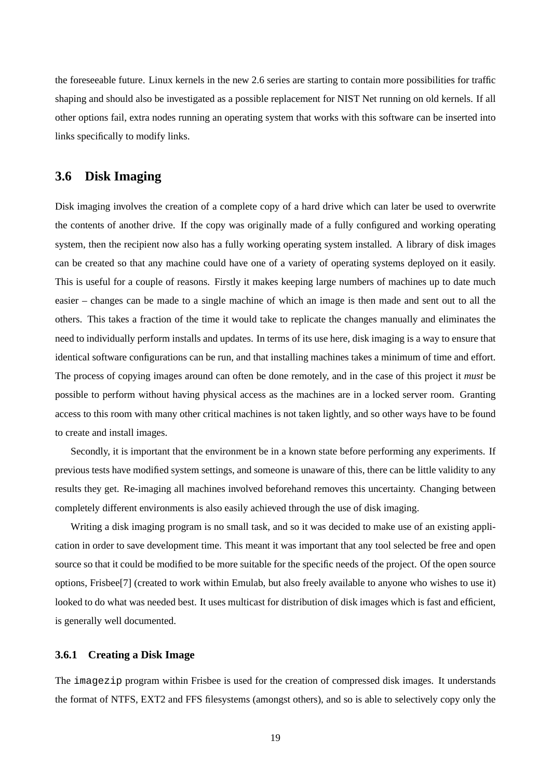the foreseeable future. Linux kernels in the new 2.6 series are starting to contain more possibilities for traffic shaping and should also be investigated as a possible replacement for NIST Net running on old kernels. If all other options fail, extra nodes running an operating system that works with this software can be inserted into links specifically to modify links.

## **3.6 Disk Imaging**

Disk imaging involves the creation of a complete copy of a hard drive which can later be used to overwrite the contents of another drive. If the copy was originally made of a fully configured and working operating system, then the recipient now also has a fully working operating system installed. A library of disk images can be created so that any machine could have one of a variety of operating systems deployed on it easily. This is useful for a couple of reasons. Firstly it makes keeping large numbers of machines up to date much easier – changes can be made to a single machine of which an image is then made and sent out to all the others. This takes a fraction of the time it would take to replicate the changes manually and eliminates the need to individually perform installs and updates. In terms of its use here, disk imaging is a way to ensure that identical software configurations can be run, and that installing machines takes a minimum of time and effort. The process of copying images around can often be done remotely, and in the case of this project it *must* be possible to perform without having physical access as the machines are in a locked server room. Granting access to this room with many other critical machines is not taken lightly, and so other ways have to be found to create and install images.

Secondly, it is important that the environment be in a known state before performing any experiments. If previous tests have modified system settings, and someone is unaware of this, there can be little validity to any results they get. Re-imaging all machines involved beforehand removes this uncertainty. Changing between completely different environments is also easily achieved through the use of disk imaging.

Writing a disk imaging program is no small task, and so it was decided to make use of an existing application in order to save development time. This meant it was important that any tool selected be free and open source so that it could be modified to be more suitable for the specific needs of the project. Of the open source options, Frisbee[7] (created to work within Emulab, but also freely available to anyone who wishes to use it) looked to do what was needed best. It uses multicast for distribution of disk images which is fast and efficient, is generally well documented.

#### **3.6.1 Creating a Disk Image**

The imagezip program within Frisbee is used for the creation of compressed disk images. It understands the format of NTFS, EXT2 and FFS filesystems (amongst others), and so is able to selectively copy only the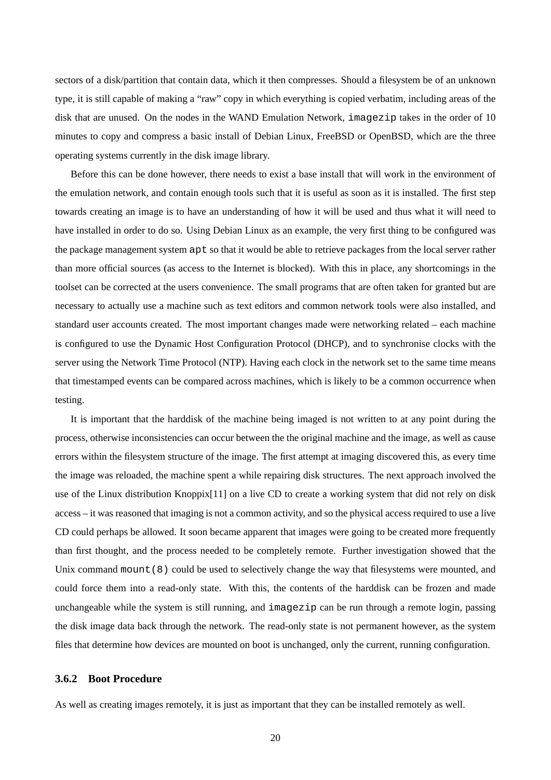sectors of a disk/partition that contain data, which it then compresses. Should a filesystem be of an unknown type, it is still capable of making a "raw" copy in which everything is copied verbatim, including areas of the disk that are unused. On the nodes in the WAND Emulation Network, imagezip takes in the order of 10 minutes to copy and compress a basic install of Debian Linux, FreeBSD or OpenBSD, which are the three operating systems currently in the disk image library.

Before this can be done however, there needs to exist a base install that will work in the environment of the emulation network, and contain enough tools such that it is useful as soon as it is installed. The first step towards creating an image is to have an understanding of how it will be used and thus what it will need to have installed in order to do so. Using Debian Linux as an example, the very first thing to be configured was the package management system apt so that it would be able to retrieve packages from the local server rather than more official sources (as access to the Internet is blocked). With this in place, any shortcomings in the toolset can be corrected at the users convenience. The small programs that are often taken for granted but are necessary to actually use a machine such as text editors and common network tools were also installed, and standard user accounts created. The most important changes made were networking related – each machine is configured to use the Dynamic Host Configuration Protocol (DHCP), and to synchronise clocks with the server using the Network Time Protocol (NTP). Having each clock in the network set to the same time means that timestamped events can be compared across machines, which is likely to be a common occurrence when testing.

It is important that the harddisk of the machine being imaged is not written to at any point during the process, otherwise inconsistencies can occur between the the original machine and the image, as well as cause errors within the filesystem structure of the image. The first attempt at imaging discovered this, as every time the image was reloaded, the machine spent a while repairing disk structures. The next approach involved the use of the Linux distribution Knoppix[11] on a live CD to create a working system that did not rely on disk access – it was reasoned that imaging is not a common activity, and so the physical access required to use a live CD could perhaps be allowed. It soon became apparent that images were going to be created more frequently than first thought, and the process needed to be completely remote. Further investigation showed that the Unix command mount (8) could be used to selectively change the way that filesystems were mounted, and could force them into a read-only state. With this, the contents of the harddisk can be frozen and made unchangeable while the system is still running, and imagezip can be run through a remote login, passing the disk image data back through the network. The read-only state is not permanent however, as the system files that determine how devices are mounted on boot is unchanged, only the current, running configuration.

#### **3.6.2 Boot Procedure**

As well as creating images remotely, it is just as important that they can be installed remotely as well.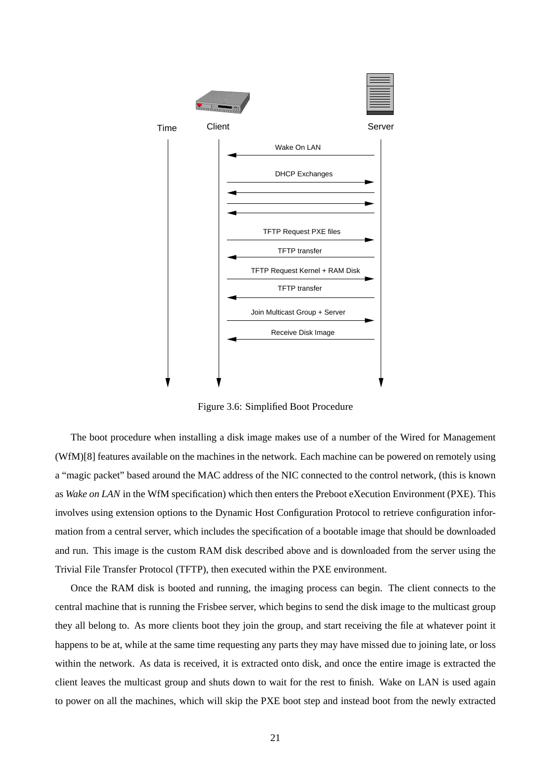

Figure 3.6: Simplified Boot Procedure

The boot procedure when installing a disk image makes use of a number of the Wired for Management (WfM)[8] features available on the machines in the network. Each machine can be powered on remotely using a "magic packet" based around the MAC address of the NIC connected to the control network, (this is known as *Wake on LAN* in the WfM specification) which then enters the Preboot eXecution Environment (PXE). This involves using extension options to the Dynamic Host Configuration Protocol to retrieve configuration information from a central server, which includes the specification of a bootable image that should be downloaded and run. This image is the custom RAM disk described above and is downloaded from the server using the Trivial File Transfer Protocol (TFTP), then executed within the PXE environment.

Once the RAM disk is booted and running, the imaging process can begin. The client connects to the central machine that is running the Frisbee server, which begins to send the disk image to the multicast group they all belong to. As more clients boot they join the group, and start receiving the file at whatever point it happens to be at, while at the same time requesting any parts they may have missed due to joining late, or loss within the network. As data is received, it is extracted onto disk, and once the entire image is extracted the client leaves the multicast group and shuts down to wait for the rest to finish. Wake on LAN is used again to power on all the machines, which will skip the PXE boot step and instead boot from the newly extracted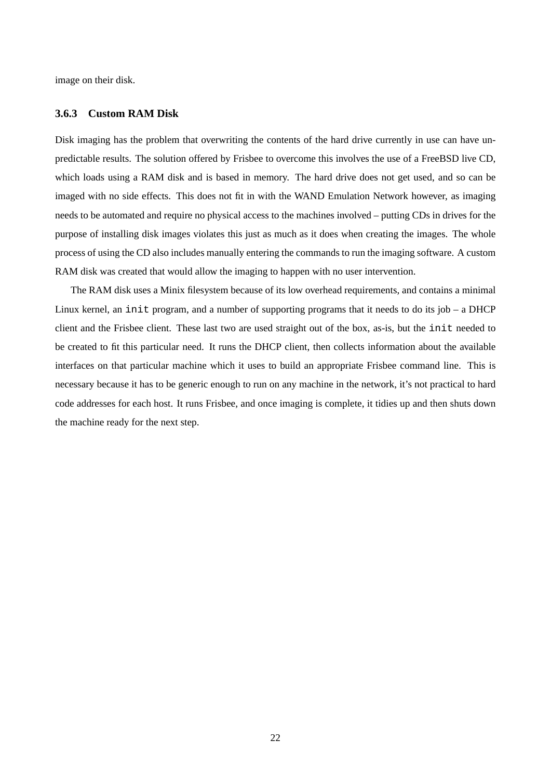image on their disk.

#### **3.6.3 Custom RAM Disk**

Disk imaging has the problem that overwriting the contents of the hard drive currently in use can have unpredictable results. The solution offered by Frisbee to overcome this involves the use of a FreeBSD live CD, which loads using a RAM disk and is based in memory. The hard drive does not get used, and so can be imaged with no side effects. This does not fit in with the WAND Emulation Network however, as imaging needs to be automated and require no physical access to the machines involved – putting CDs in drives for the purpose of installing disk images violates this just as much as it does when creating the images. The whole process of using the CD also includes manually entering the commands to run the imaging software. A custom RAM disk was created that would allow the imaging to happen with no user intervention.

The RAM disk uses a Minix filesystem because of its low overhead requirements, and contains a minimal Linux kernel, an init program, and a number of supporting programs that it needs to do its job – a DHCP client and the Frisbee client. These last two are used straight out of the box, as-is, but the init needed to be created to fit this particular need. It runs the DHCP client, then collects information about the available interfaces on that particular machine which it uses to build an appropriate Frisbee command line. This is necessary because it has to be generic enough to run on any machine in the network, it's not practical to hard code addresses for each host. It runs Frisbee, and once imaging is complete, it tidies up and then shuts down the machine ready for the next step.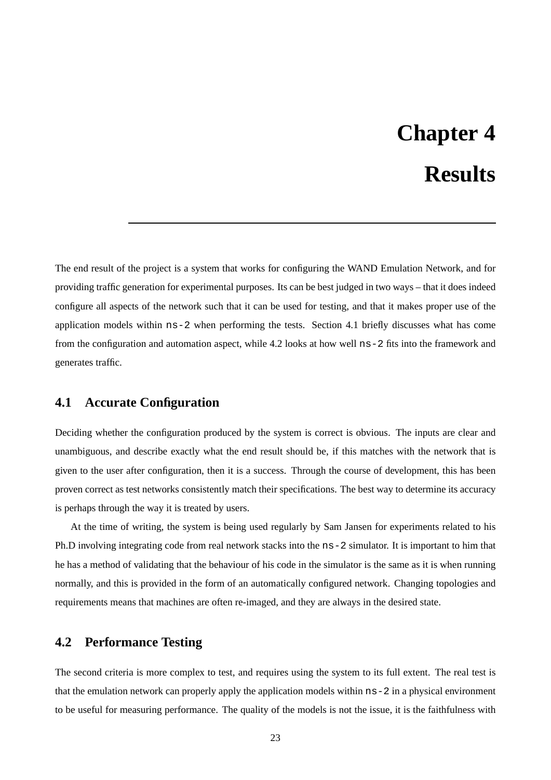# **Chapter 4 Results**

The end result of the project is a system that works for configuring the WAND Emulation Network, and for providing traffic generation for experimental purposes. Its can be best judged in two ways – that it does indeed configure all aspects of the network such that it can be used for testing, and that it makes proper use of the application models within ns-2 when performing the tests. Section 4.1 briefly discusses what has come from the configuration and automation aspect, while 4.2 looks at how well ns-2 fits into the framework and generates traffic.

# **4.1 Accurate Configuration**

Deciding whether the configuration produced by the system is correct is obvious. The inputs are clear and unambiguous, and describe exactly what the end result should be, if this matches with the network that is given to the user after configuration, then it is a success. Through the course of development, this has been proven correct as test networks consistently match their specifications. The best way to determine its accuracy is perhaps through the way it is treated by users.

At the time of writing, the system is being used regularly by Sam Jansen for experiments related to his Ph.D involving integrating code from real network stacks into the ns-2 simulator. It is important to him that he has a method of validating that the behaviour of his code in the simulator is the same as it is when running normally, and this is provided in the form of an automatically configured network. Changing topologies and requirements means that machines are often re-imaged, and they are always in the desired state.

### **4.2 Performance Testing**

The second criteria is more complex to test, and requires using the system to its full extent. The real test is that the emulation network can properly apply the application models within ns-2 in a physical environment to be useful for measuring performance. The quality of the models is not the issue, it is the faithfulness with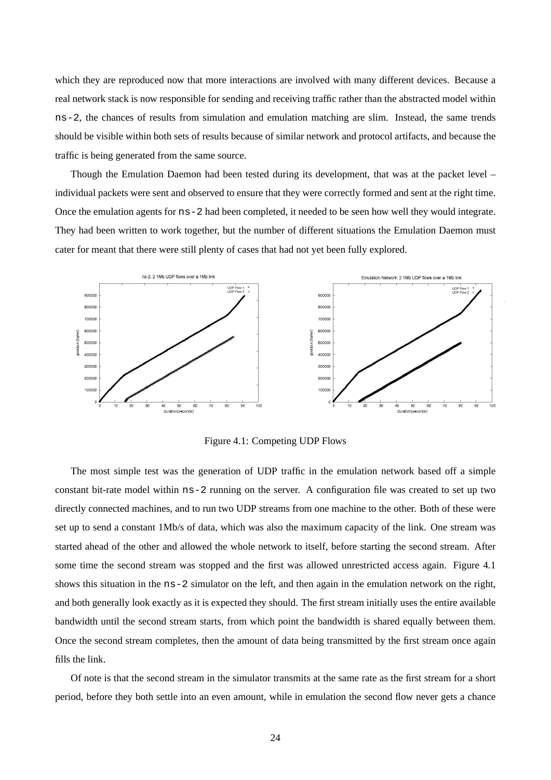which they are reproduced now that more interactions are involved with many different devices. Because a real network stack is now responsible for sending and receiving traffic rather than the abstracted model within ns-2, the chances of results from simulation and emulation matching are slim. Instead, the same trends should be visible within both sets of results because of similar network and protocol artifacts, and because the traffic is being generated from the same source.

Though the Emulation Daemon had been tested during its development, that was at the packet level – individual packets were sent and observed to ensure that they were correctly formed and sent at the right time. Once the emulation agents for ns-2 had been completed, it needed to be seen how well they would integrate. They had been written to work together, but the number of different situations the Emulation Daemon must cater for meant that there were still plenty of cases that had not yet been fully explored.



Figure 4.1: Competing UDP Flows

The most simple test was the generation of UDP traffic in the emulation network based off a simple constant bit-rate model within ns-2 running on the server. A configuration file was created to set up two directly connected machines, and to run two UDP streams from one machine to the other. Both of these were set up to send a constant 1Mb/s of data, which was also the maximum capacity of the link. One stream was started ahead of the other and allowed the whole network to itself, before starting the second stream. After some time the second stream was stopped and the first was allowed unrestricted access again. Figure 4.1 shows this situation in the ns-2 simulator on the left, and then again in the emulation network on the right, and both generally look exactly as it is expected they should. The first stream initially uses the entire available bandwidth until the second stream starts, from which point the bandwidth is shared equally between them. Once the second stream completes, then the amount of data being transmitted by the first stream once again fills the link.

Of note is that the second stream in the simulator transmits at the same rate as the first stream for a short period, before they both settle into an even amount, while in emulation the second flow never gets a chance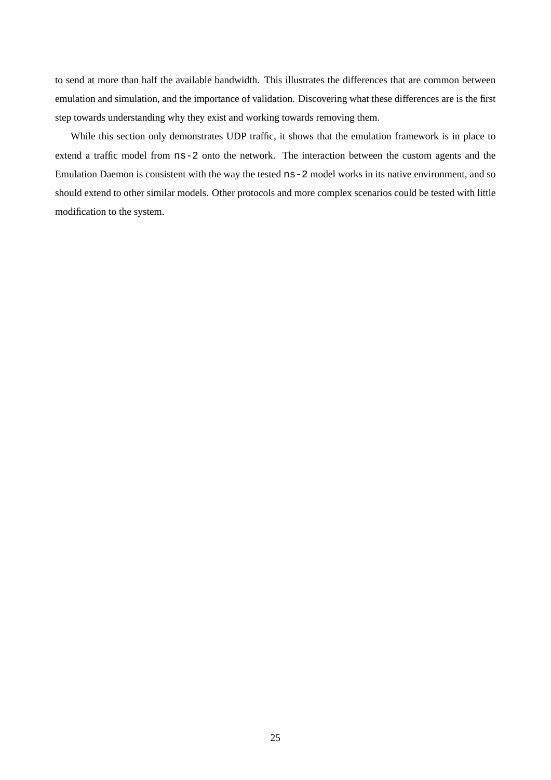to send at more than half the available bandwidth. This illustrates the differences that are common between emulation and simulation, and the importance of validation. Discovering what these differences are is the first step towards understanding why they exist and working towards removing them.

While this section only demonstrates UDP traffic, it shows that the emulation framework is in place to extend a traffic model from ns-2 onto the network. The interaction between the custom agents and the Emulation Daemon is consistent with the way the tested ns-2 model works in its native environment, and so should extend to other similar models. Other protocols and more complex scenarios could be tested with little modification to the system.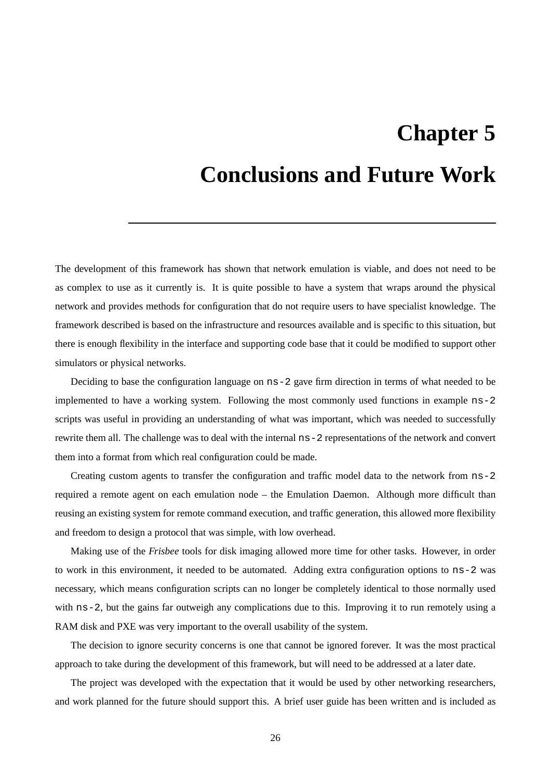# **Chapter 5**

# **Conclusions and Future Work**

The development of this framework has shown that network emulation is viable, and does not need to be as complex to use as it currently is. It is quite possible to have a system that wraps around the physical network and provides methods for configuration that do not require users to have specialist knowledge. The framework described is based on the infrastructure and resources available and is specific to this situation, but there is enough flexibility in the interface and supporting code base that it could be modified to support other simulators or physical networks.

Deciding to base the configuration language on ns-2 gave firm direction in terms of what needed to be implemented to have a working system. Following the most commonly used functions in example ns-2 scripts was useful in providing an understanding of what was important, which was needed to successfully rewrite them all. The challenge was to deal with the internal ns-2 representations of the network and convert them into a format from which real configuration could be made.

Creating custom agents to transfer the configuration and traffic model data to the network from ns-2 required a remote agent on each emulation node – the Emulation Daemon. Although more difficult than reusing an existing system for remote command execution, and traffic generation, this allowed more flexibility and freedom to design a protocol that was simple, with low overhead.

Making use of the *Frisbee* tools for disk imaging allowed more time for other tasks. However, in order to work in this environment, it needed to be automated. Adding extra configuration options to ns-2 was necessary, which means configuration scripts can no longer be completely identical to those normally used with ns-2, but the gains far outweigh any complications due to this. Improving it to run remotely using a RAM disk and PXE was very important to the overall usability of the system.

The decision to ignore security concerns is one that cannot be ignored forever. It was the most practical approach to take during the development of this framework, but will need to be addressed at a later date.

The project was developed with the expectation that it would be used by other networking researchers, and work planned for the future should support this. A brief user guide has been written and is included as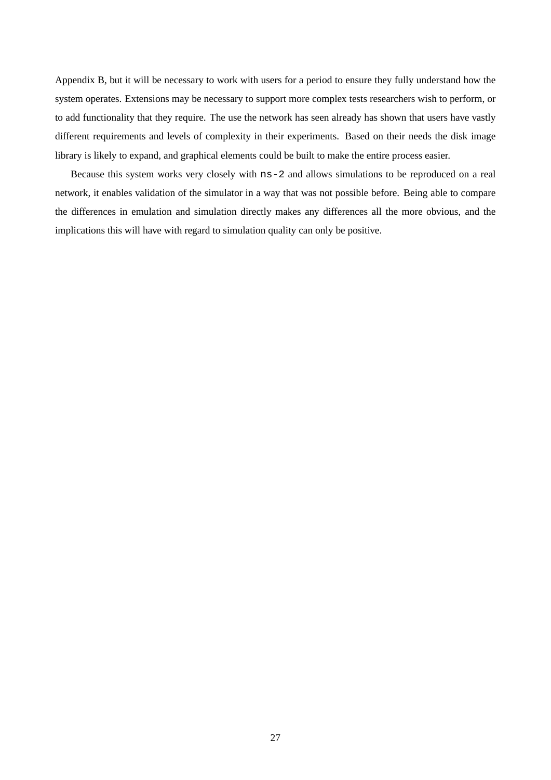Appendix B, but it will be necessary to work with users for a period to ensure they fully understand how the system operates. Extensions may be necessary to support more complex tests researchers wish to perform, or to add functionality that they require. The use the network has seen already has shown that users have vastly different requirements and levels of complexity in their experiments. Based on their needs the disk image library is likely to expand, and graphical elements could be built to make the entire process easier.

Because this system works very closely with ns-2 and allows simulations to be reproduced on a real network, it enables validation of the simulator in a way that was not possible before. Being able to compare the differences in emulation and simulation directly makes any differences all the more obvious, and the implications this will have with regard to simulation quality can only be positive.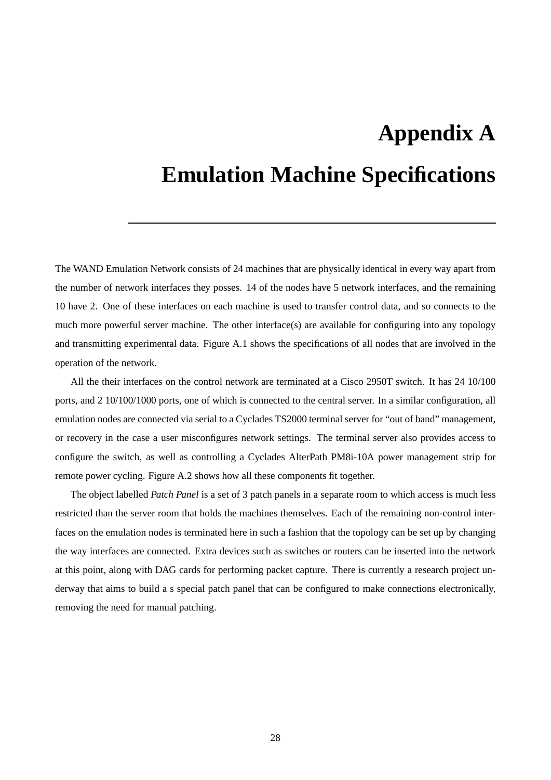# **Appendix A**

# **Emulation Machine Specifications**

The WAND Emulation Network consists of 24 machines that are physically identical in every way apart from the number of network interfaces they posses. 14 of the nodes have 5 network interfaces, and the remaining 10 have 2. One of these interfaces on each machine is used to transfer control data, and so connects to the much more powerful server machine. The other interface(s) are available for configuring into any topology and transmitting experimental data. Figure A.1 shows the specifications of all nodes that are involved in the operation of the network.

All the their interfaces on the control network are terminated at a Cisco 2950T switch. It has 24 10/100 ports, and 2 10/100/1000 ports, one of which is connected to the central server. In a similar configuration, all emulation nodes are connected via serial to a Cyclades TS2000 terminal server for "out of band" management, or recovery in the case a user misconfigures network settings. The terminal server also provides access to configure the switch, as well as controlling a Cyclades AlterPath PM8i-10A power management strip for remote power cycling. Figure A.2 shows how all these components fit together.

The object labelled *Patch Panel* is a set of 3 patch panels in a separate room to which access is much less restricted than the server room that holds the machines themselves. Each of the remaining non-control interfaces on the emulation nodes is terminated here in such a fashion that the topology can be set up by changing the way interfaces are connected. Extra devices such as switches or routers can be inserted into the network at this point, along with DAG cards for performing packet capture. There is currently a research project underway that aims to build a s special patch panel that can be configured to make connections electronically, removing the need for manual patching.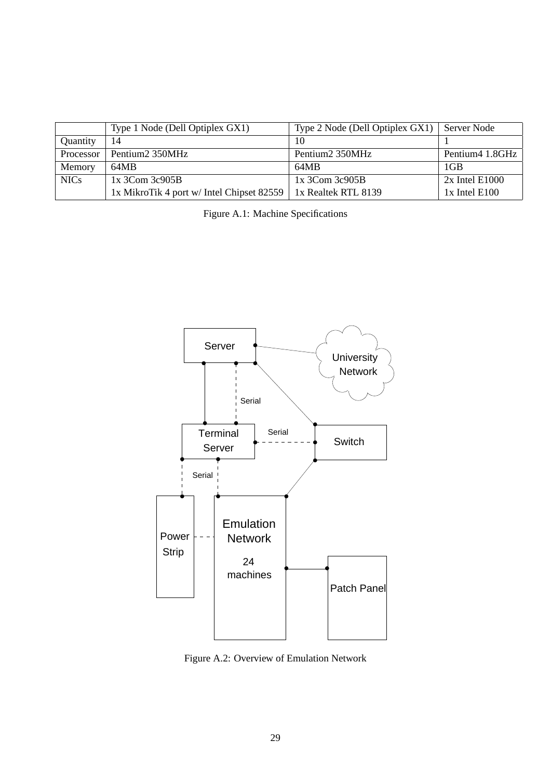|             | Type 1 Node (Dell Optiplex GX1)           | Type 2 Node (Dell Optiplex $GX1$ )   Server Node |                  |
|-------------|-------------------------------------------|--------------------------------------------------|------------------|
| Quantity    | 14                                        | 10                                               |                  |
| Processor   | Pentium2 350MHz                           | Pentium2 350MHz                                  | Pentium4 1.8GHz  |
| Memory      | 64MB                                      | 64MB                                             | $1$ GB           |
| <b>NICs</b> | $1x$ 3Com 3c905B                          | $1x$ 3Com 3c905B                                 | $2x$ Intel E1000 |
|             | 1x MikroTik 4 port w/ Intel Chipset 82559 | 1x Realtek RTL 8139                              | $1x$ Intel E100  |

Figure A.1: Machine Specifications



Figure A.2: Overview of Emulation Network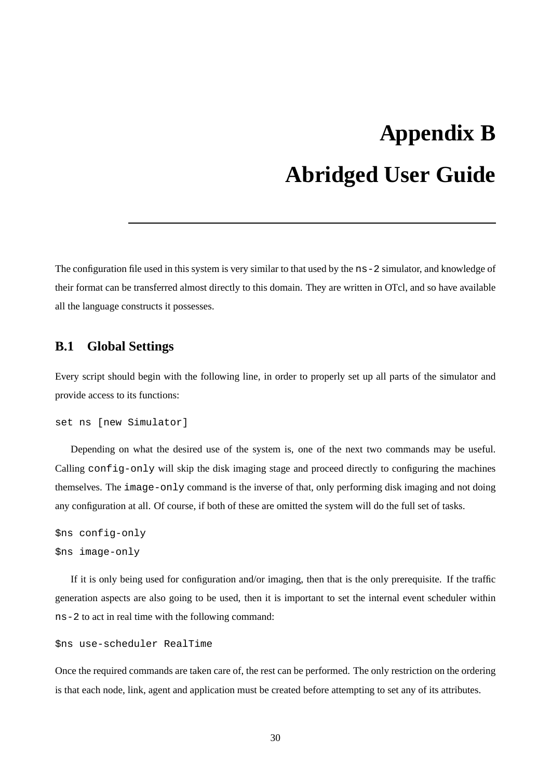# **Appendix B Abridged User Guide**

The configuration file used in this system is very similar to that used by the ns-2 simulator, and knowledge of their format can be transferred almost directly to this domain. They are written in OTcl, and so have available all the language constructs it possesses.

## **B.1 Global Settings**

Every script should begin with the following line, in order to properly set up all parts of the simulator and provide access to its functions:

```
set ns [new Simulator]
```
Depending on what the desired use of the system is, one of the next two commands may be useful. Calling config-only will skip the disk imaging stage and proceed directly to configuring the machines themselves. The image-only command is the inverse of that, only performing disk imaging and not doing any configuration at all. Of course, if both of these are omitted the system will do the full set of tasks.

```
$ns config-only
$ns image-only
```
If it is only being used for configuration and/or imaging, then that is the only prerequisite. If the traffic generation aspects are also going to be used, then it is important to set the internal event scheduler within ns-2 to act in real time with the following command:

```
$ns use-scheduler RealTime
```
Once the required commands are taken care of, the rest can be performed. The only restriction on the ordering is that each node, link, agent and application must be created before attempting to set any of its attributes.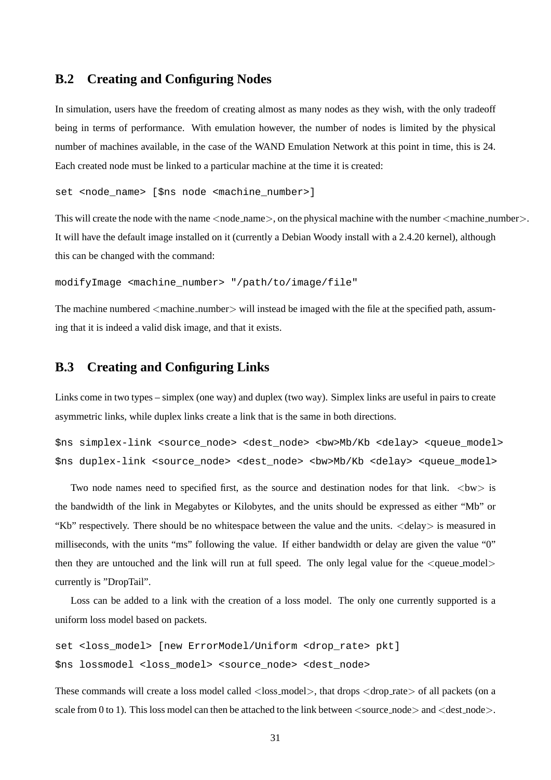## **B.2 Creating and Configuring Nodes**

In simulation, users have the freedom of creating almost as many nodes as they wish, with the only tradeoff being in terms of performance. With emulation however, the number of nodes is limited by the physical number of machines available, in the case of the WAND Emulation Network at this point in time, this is 24. Each created node must be linked to a particular machine at the time it is created:

```
set <node name> [$ns node <machine number>]
```
This will create the node with the name  $\langle$  node\_name $\rangle$ , on the physical machine with the number  $\langle$  machine number $\rangle$ . It will have the default image installed on it (currently a Debian Woody install with a 2.4.20 kernel), although this can be changed with the command:

modifyImage <machine\_number> "/path/to/image/file"

The machine numbered  $\leq$  machine number $\geq$  will instead be imaged with the file at the specified path, assuming that it is indeed a valid disk image, and that it exists.

### **B.3 Creating and Configuring Links**

Links come in two types – simplex (one way) and duplex (two way). Simplex links are useful in pairs to create asymmetric links, while duplex links create a link that is the same in both directions.

\$ns simplex-link <source\_node> <dest\_node> <bw>Mb/Kb <delay> <queue\_model> \$ns duplex-link <source\_node> <dest\_node> <bw>Mb/Kb <delay> <queue\_model>

Two node names need to specified first, as the source and destination nodes for that link.  $\langle bw \rangle$  is the bandwidth of the link in Megabytes or Kilobytes, and the units should be expressed as either "Mb" or "Kb" respectively. There should be no whitespace between the value and the units. <delay> is measured in milliseconds, with the units "ms" following the value. If either bandwidth or delay are given the value "0" then they are untouched and the link will run at full speed. The only legal value for the  $\leq$ queue\_model $>$ currently is "DropTail".

Loss can be added to a link with the creation of a loss model. The only one currently supported is a uniform loss model based on packets.

```
set <loss_model> [new ErrorModel/Uniform <drop_rate> pkt]
$ns lossmodel <loss_model> <source_node> <dest_node>
```
These commands will create a loss model called <loss\_model>, that drops <drop\_rate> of all packets (on a scale from 0 to 1). This loss model can then be attached to the link between  $\langle$ source\_node $\rangle$  and  $\langle$ dest\_node $\rangle$ .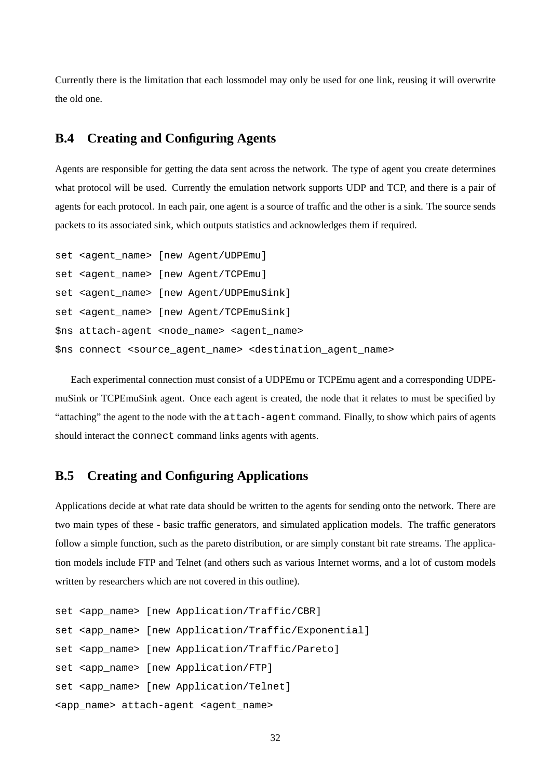Currently there is the limitation that each lossmodel may only be used for one link, reusing it will overwrite the old one.

# **B.4 Creating and Configuring Agents**

Agents are responsible for getting the data sent across the network. The type of agent you create determines what protocol will be used. Currently the emulation network supports UDP and TCP, and there is a pair of agents for each protocol. In each pair, one agent is a source of traffic and the other is a sink. The source sends packets to its associated sink, which outputs statistics and acknowledges them if required.

```
set <agent name> [new Agent/UDPEmu]
set <agent_name> [new Agent/TCPEmu]
set <agent name> [new Agent/UDPEmuSink]
set <agent_name> [new Agent/TCPEmuSink]
$ns attach-agent <node_name> <agent_name>
$ns connect <source_agent_name> <destination_agent_name>
```
Each experimental connection must consist of a UDPEmu or TCPEmu agent and a corresponding UDPEmuSink or TCPEmuSink agent. Once each agent is created, the node that it relates to must be specified by "attaching" the agent to the node with the attach-agent command. Finally, to show which pairs of agents should interact the connect command links agents with agents.

# **B.5 Creating and Configuring Applications**

Applications decide at what rate data should be written to the agents for sending onto the network. There are two main types of these - basic traffic generators, and simulated application models. The traffic generators follow a simple function, such as the pareto distribution, or are simply constant bit rate streams. The application models include FTP and Telnet (and others such as various Internet worms, and a lot of custom models written by researchers which are not covered in this outline).

```
set <app_name> [new Application/Traffic/CBR]
set <app_name> [new Application/Traffic/Exponential]
set <app_name> [new Application/Traffic/Pareto]
set <app_name> [new Application/FTP]
set <app_name> [new Application/Telnet]
<app_name> attach-agent <agent_name>
```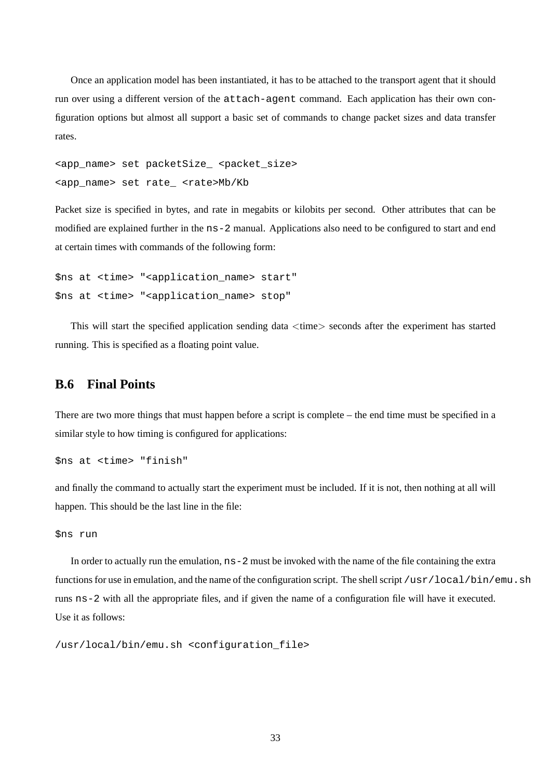Once an application model has been instantiated, it has to be attached to the transport agent that it should run over using a different version of the attach-agent command. Each application has their own configuration options but almost all support a basic set of commands to change packet sizes and data transfer rates.

```
<app_name> set packetSize_ <packet_size>
<app_name> set rate_ <rate>Mb/Kb
```
Packet size is specified in bytes, and rate in megabits or kilobits per second. Other attributes that can be modified are explained further in the ns-2 manual. Applications also need to be configured to start and end at certain times with commands of the following form:

```
$ns at <time> "<application_name> start"
$ns at <time> "<application_name> stop"
```
This will start the specified application sending data  $\langle$ time $\rangle$  seconds after the experiment has started running. This is specified as a floating point value.

# **B.6 Final Points**

There are two more things that must happen before a script is complete – the end time must be specified in a similar style to how timing is configured for applications:

\$ns at <time> "finish"

and finally the command to actually start the experiment must be included. If it is not, then nothing at all will happen. This should be the last line in the file:

```
$ns run
```
In order to actually run the emulation, ns-2 must be invoked with the name of the file containing the extra functions for use in emulation, and the name of the configuration script. The shell script /usr/local/bin/emu.sh runs ns-2 with all the appropriate files, and if given the name of a configuration file will have it executed. Use it as follows:

/usr/local/bin/emu.sh <configuration\_file>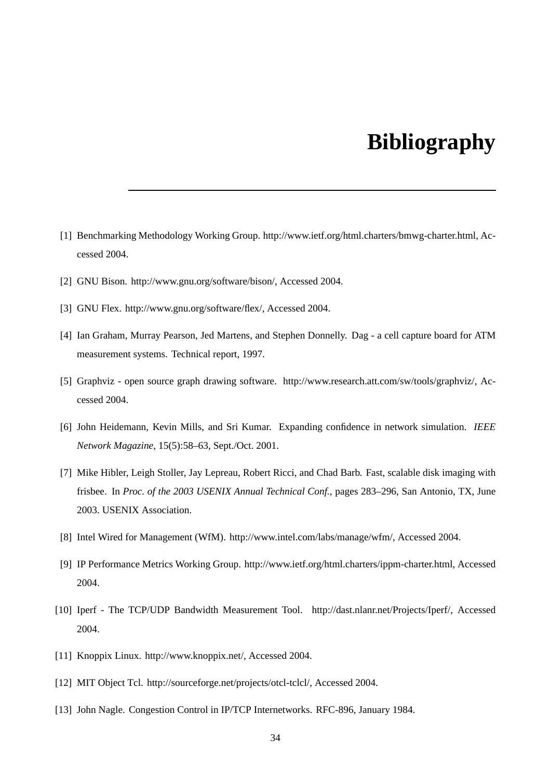# **Bibliography**

- [1] Benchmarking Methodology Working Group. http://www.ietf.org/html.charters/bmwg-charter.html, Accessed 2004.
- [2] GNU Bison. http://www.gnu.org/software/bison/, Accessed 2004.
- [3] GNU Flex. http://www.gnu.org/software/flex/, Accessed 2004.
- [4] Ian Graham, Murray Pearson, Jed Martens, and Stephen Donnelly. Dag a cell capture board for ATM measurement systems. Technical report, 1997.
- [5] Graphviz open source graph drawing software. http://www.research.att.com/sw/tools/graphviz/, Accessed 2004.
- [6] John Heidemann, Kevin Mills, and Sri Kumar. Expanding confidence in network simulation. *IEEE Network Magazine*, 15(5):58–63, Sept./Oct. 2001.
- [7] Mike Hibler, Leigh Stoller, Jay Lepreau, Robert Ricci, and Chad Barb. Fast, scalable disk imaging with frisbee. In *Proc. of the 2003 USENIX Annual Technical Conf.*, pages 283–296, San Antonio, TX, June 2003. USENIX Association.
- [8] Intel Wired for Management (WfM). http://www.intel.com/labs/manage/wfm/, Accessed 2004.
- [9] IP Performance Metrics Working Group. http://www.ietf.org/html.charters/ippm-charter.html, Accessed 2004.
- [10] Iperf The TCP/UDP Bandwidth Measurement Tool. http://dast.nlanr.net/Projects/Iperf/, Accessed 2004.
- [11] Knoppix Linux. http://www.knoppix.net/, Accessed 2004.
- [12] MIT Object Tcl. http://sourceforge.net/projects/otcl-tclcl/, Accessed 2004.
- [13] John Nagle. Congestion Control in IP/TCP Internetworks. RFC-896, January 1984.